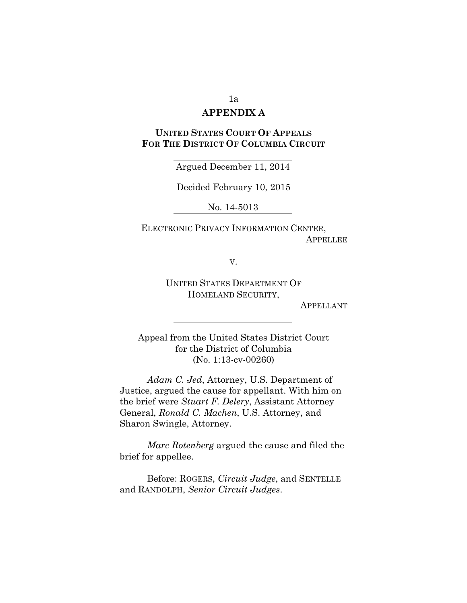#### 1a

# **APPENDIX A**

# **UNITED STATES COURT OF APPEALS FOR THE DISTRICT OF COLUMBIA CIRCUIT**

Argued December 11, 2014

Decided February 10, 2015

No. 14-5013

ELECTRONIC PRIVACY INFORMATION CENTER, **APPELLEE** 

V.

UNITED STATES DEPARTMENT OF HOMELAND SECURITY,

APPELLANT

Appeal from the United States District Court for the District of Columbia (No. 1:13-cv-00260)

*Adam C. Jed*, Attorney, U.S. Department of Justice, argued the cause for appellant. With him on the brief were *Stuart F. Delery*, Assistant Attorney General, *Ronald C. Machen*, U.S. Attorney, and Sharon Swingle, Attorney.

*Marc Rotenberg* argued the cause and filed the brief for appellee.

Before: ROGERS, *Circuit Judge*, and SENTELLE and RANDOLPH, *Senior Circuit Judges*.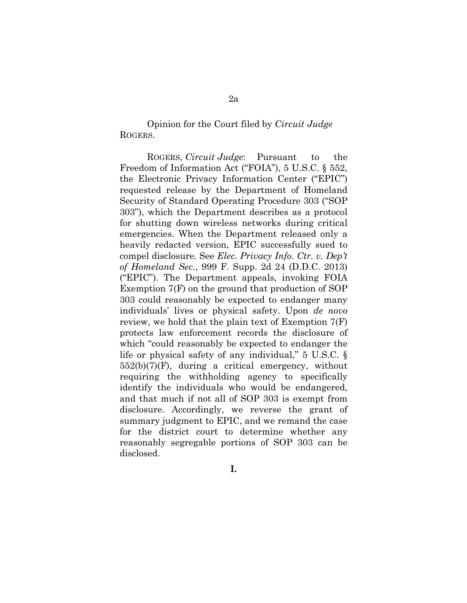Opinion for the Court filed by *Circuit Judge* ROGERS.

ROGERS, *Circuit Judge*: Pursuant to the Freedom of Information Act ("FOIA"), 5 U.S.C. § 552, the Electronic Privacy Information Center ("EPIC") requested release by the Department of Homeland Security of Standard Operating Procedure 303 ("SOP 303"), which the Department describes as a protocol for shutting down wireless networks during critical emergencies. When the Department released only a heavily redacted version, EPIC successfully sued to compel disclosure. See *Elec. Privacy Info. Ctr. v. Dep't of Homeland Sec.*, 999 F. Supp. 2d 24 (D.D.C. 2013) ("EPIC"). The Department appeals, invoking FOIA Exemption 7(F) on the ground that production of SOP 303 could reasonably be expected to endanger many individuals' lives or physical safety. Upon *de novo* review, we hold that the plain text of Exemption 7(F) protects law enforcement records the disclosure of which "could reasonably be expected to endanger the life or physical safety of any individual," 5 U.S.C. § 552(b)(7)(F), during a critical emergency, without requiring the withholding agency to specifically identify the individuals who would be endangered, and that much if not all of SOP 303 is exempt from disclosure. Accordingly, we reverse the grant of summary judgment to EPIC, and we remand the case for the district court to determine whether any reasonably segregable portions of SOP 303 can be disclosed.

**I.**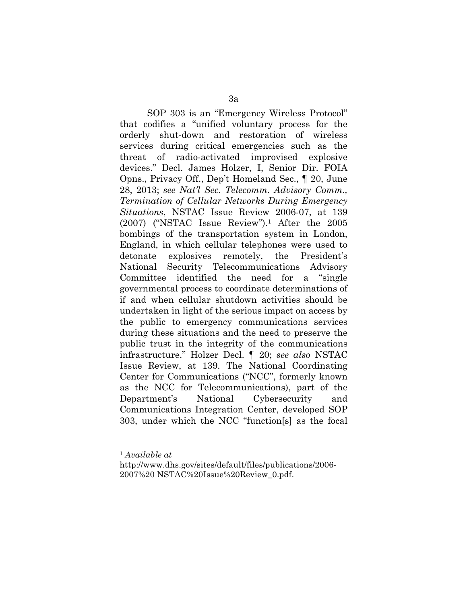SOP 303 is an "Emergency Wireless Protocol" that codifies a "unified voluntary process for the orderly shut-down and restoration of wireless services during critical emergencies such as the threat of radio-activated improvised explosive devices." Decl. James Holzer, I, Senior Dir. FOIA Opns., Privacy Off., Dep't Homeland Sec., ¶ 20, June 28, 2013; *see Nat'l Sec. Telecomm. Advisory Comm., Termination of Cellular Networks During Emergency Situations*, NSTAC Issue Review 2006-07, at 139 (2007) ("NSTAC Issue Review").<sup>1</sup> After the 2005 bombings of the transportation system in London, England, in which cellular telephones were used to detonate explosives remotely, the President's National Security Telecommunications Advisory Committee identified the need for a "single governmental process to coordinate determinations of if and when cellular shutdown activities should be undertaken in light of the serious impact on access by the public to emergency communications services during these situations and the need to preserve the public trust in the integrity of the communications infrastructure." Holzer Decl. ¶ 20; *see also* NSTAC Issue Review, at 139. The National Coordinating Center for Communications ("NCC", formerly known as the NCC for Telecommunications), part of the Department's National Cybersecurity and Communications Integration Center, developed SOP 303, under which the NCC "function[s] as the focal

 $\overline{a}$ 

<sup>1</sup> *Available at*

http://www.dhs.gov/sites/default/files/publications/2006- 2007%20 NSTAC%20Issue%20Review\_0.pdf.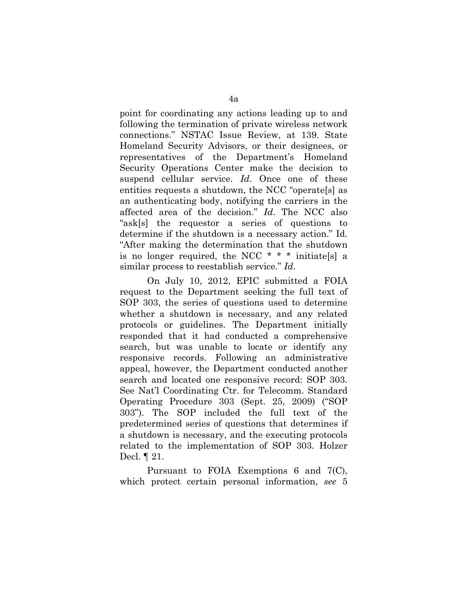point for coordinating any actions leading up to and following the termination of private wireless network connections." NSTAC Issue Review, at 139. State Homeland Security Advisors, or their designees, or representatives of the Department's Homeland Security Operations Center make the decision to suspend cellular service. *Id*. Once one of these entities requests a shutdown, the NCC "operate[s] as an authenticating body, notifying the carriers in the affected area of the decision." *Id*. The NCC also "ask[s] the requestor a series of questions to determine if the shutdown is a necessary action." Id. "After making the determination that the shutdown is no longer required, the NCC  $* * *$  initiates a similar process to reestablish service." *Id*.

On July 10, 2012, EPIC submitted a FOIA request to the Department seeking the full text of SOP 303, the series of questions used to determine whether a shutdown is necessary, and any related protocols or guidelines. The Department initially responded that it had conducted a comprehensive search, but was unable to locate or identify any responsive records. Following an administrative appeal, however, the Department conducted another search and located one responsive record: SOP 303. See Nat'l Coordinating Ctr. for Telecomm. Standard Operating Procedure 303 (Sept. 25, 2009) ("SOP 303"). The SOP included the full text of the predetermined series of questions that determines if a shutdown is necessary, and the executing protocols related to the implementation of SOP 303. Holzer Decl. ¶ 21.

Pursuant to FOIA Exemptions 6 and 7(C), which protect certain personal information, *see* 5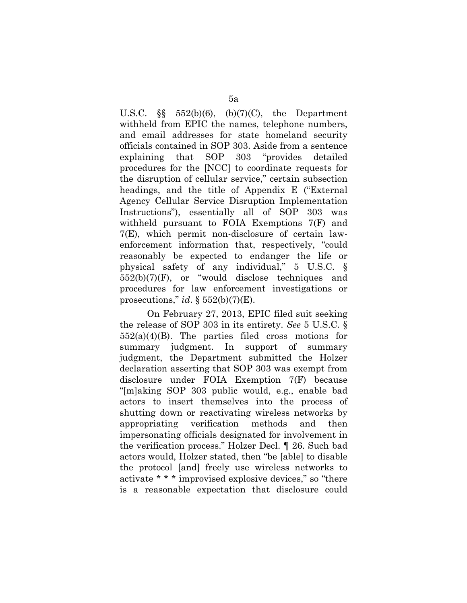U.S.C.  $\S$  552(b)(6), (b)(7)(C), the Department withheld from EPIC the names, telephone numbers, and email addresses for state homeland security officials contained in SOP 303. Aside from a sentence explaining that SOP 303 "provides detailed procedures for the [NCC] to coordinate requests for the disruption of cellular service," certain subsection headings, and the title of Appendix E ("External Agency Cellular Service Disruption Implementation Instructions"), essentially all of SOP 303 was withheld pursuant to FOIA Exemptions 7(F) and 7(E), which permit non-disclosure of certain lawenforcement information that, respectively, "could reasonably be expected to endanger the life or physical safety of any individual," 5 U.S.C. §  $552(b)(7)(F)$ , or "would disclose techniques and procedures for law enforcement investigations or prosecutions," *id*.  $\S 552(b)(7)(E)$ .

On February 27, 2013, EPIC filed suit seeking the release of SOP 303 in its entirety. *See* 5 U.S.C. §  $552(a)(4)(B)$ . The parties filed cross motions for summary judgment. In support of summary judgment, the Department submitted the Holzer declaration asserting that SOP 303 was exempt from disclosure under FOIA Exemption 7(F) because "[m]aking SOP 303 public would, e.g., enable bad actors to insert themselves into the process of shutting down or reactivating wireless networks by appropriating verification methods and then impersonating officials designated for involvement in the verification process." Holzer Decl. ¶ 26. Such bad actors would, Holzer stated, then "be [able] to disable the protocol [and] freely use wireless networks to activate \* \* \* improvised explosive devices," so "there is a reasonable expectation that disclosure could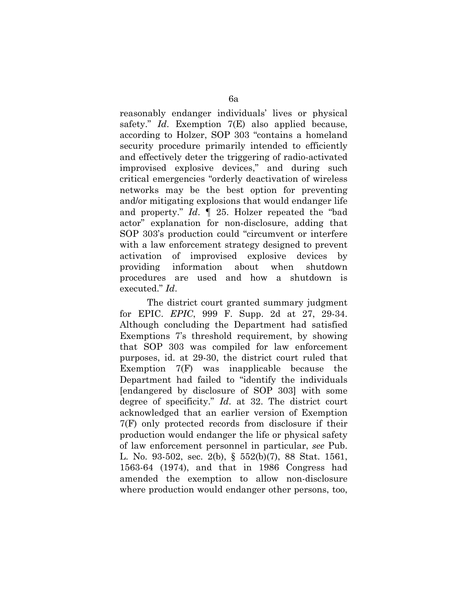reasonably endanger individuals' lives or physical safety." *Id*. Exemption 7(E) also applied because, according to Holzer, SOP 303 "contains a homeland security procedure primarily intended to efficiently and effectively deter the triggering of radio-activated improvised explosive devices," and during such critical emergencies "orderly deactivation of wireless networks may be the best option for preventing and/or mitigating explosions that would endanger life and property." *Id*. ¶ 25. Holzer repeated the "bad actor" explanation for non-disclosure, adding that SOP 303's production could "circumvent or interfere with a law enforcement strategy designed to prevent activation of improvised explosive devices by providing information about when shutdown procedures are used and how a shutdown is executed." *Id*.

The district court granted summary judgment for EPIC. *EPIC*, 999 F. Supp. 2d at 27, 29-34. Although concluding the Department had satisfied Exemptions 7's threshold requirement, by showing that SOP 303 was compiled for law enforcement purposes, id. at 29-30, the district court ruled that Exemption 7(F) was inapplicable because the Department had failed to "identify the individuals [endangered by disclosure of SOP 303] with some degree of specificity." *Id*. at 32. The district court acknowledged that an earlier version of Exemption 7(F) only protected records from disclosure if their production would endanger the life or physical safety of law enforcement personnel in particular, *see* Pub. L. No. 93-502, sec. 2(b), § 552(b)(7), 88 Stat. 1561, 1563-64 (1974), and that in 1986 Congress had amended the exemption to allow non-disclosure where production would endanger other persons, too,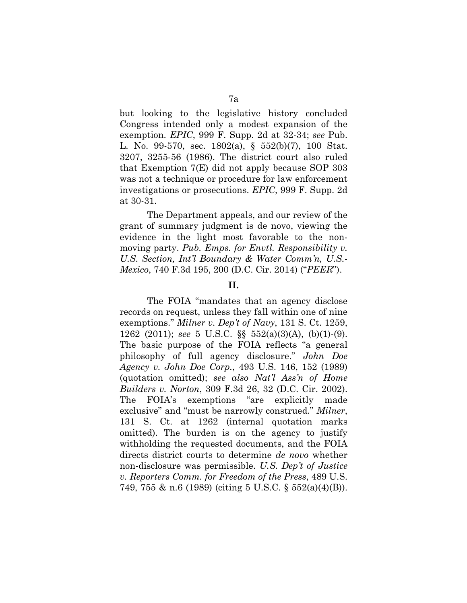but looking to the legislative history concluded Congress intended only a modest expansion of the exemption. *EPIC*, 999 F. Supp. 2d at 32-34; *see* Pub. L. No. 99-570, sec. 1802(a), § 552(b)(7), 100 Stat. 3207, 3255-56 (1986). The district court also ruled that Exemption 7(E) did not apply because SOP 303 was not a technique or procedure for law enforcement investigations or prosecutions. *EPIC*, 999 F. Supp. 2d at 30-31.

The Department appeals, and our review of the grant of summary judgment is de novo, viewing the evidence in the light most favorable to the nonmoving party. *Pub. Emps. for Envtl. Responsibility v. U.S. Section, Int'l Boundary & Water Comm'n, U.S.- Mexico*, 740 F.3d 195, 200 (D.C. Cir. 2014) ("*PEER*").

#### **II.**

The FOIA "mandates that an agency disclose records on request, unless they fall within one of nine exemptions." *Milner v. Dep't of Navy*, 131 S. Ct. 1259, 1262 (2011); *see* 5 U.S.C. §§ 552(a)(3)(A), (b)(1)-(9). The basic purpose of the FOIA reflects "a general philosophy of full agency disclosure." *John Doe Agency v. John Doe Corp.*, 493 U.S. 146, 152 (1989) (quotation omitted); *see also Nat'l Ass'n of Home Builders v. Norton*, 309 F.3d 26, 32 (D.C. Cir. 2002). The FOIA's exemptions "are explicitly made exclusive" and "must be narrowly construed." *Milner*, 131 S. Ct. at 1262 (internal quotation marks omitted). The burden is on the agency to justify withholding the requested documents, and the FOIA directs district courts to determine *de novo* whether non-disclosure was permissible. *U.S. Dep't of Justice v. Reporters Comm. for Freedom of the Press*, 489 U.S. 749, 755 & n.6 (1989) (citing 5 U.S.C. § 552(a)(4)(B)).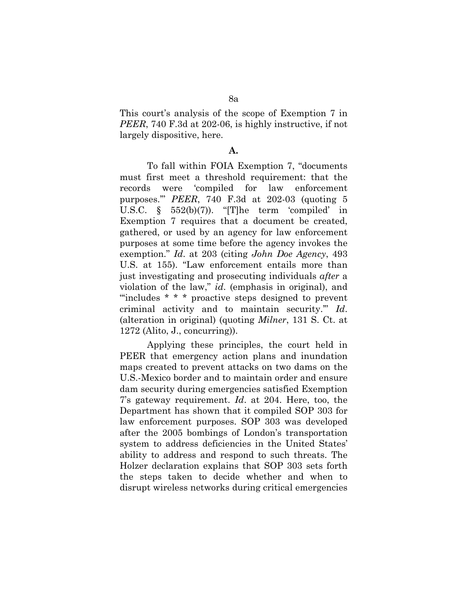This court's analysis of the scope of Exemption 7 in *PEER*, 740 F.3d at 202-06, is highly instructive, if not largely dispositive, here.

#### **A.**

To fall within FOIA Exemption 7, "documents must first meet a threshold requirement: that the records were 'compiled for law enforcement purposes.'" *PEER*, 740 F.3d at 202-03 (quoting 5 U.S.C. § 552(b)(7)). "[T]he term 'compiled' in Exemption 7 requires that a document be created, gathered, or used by an agency for law enforcement purposes at some time before the agency invokes the exemption." *Id*. at 203 (citing *John Doe Agency*, 493 U.S. at 155). "Law enforcement entails more than just investigating and prosecuting individuals *after* a violation of the law," *id*. (emphasis in original), and "'includes \* \* \* proactive steps designed to prevent criminal activity and to maintain security.'" *Id*. (alteration in original) (quoting *Milner*, 131 S. Ct. at 1272 (Alito, J., concurring)).

Applying these principles, the court held in PEER that emergency action plans and inundation maps created to prevent attacks on two dams on the U.S.-Mexico border and to maintain order and ensure dam security during emergencies satisfied Exemption 7's gateway requirement. *Id*. at 204. Here, too, the Department has shown that it compiled SOP 303 for law enforcement purposes. SOP 303 was developed after the 2005 bombings of London's transportation system to address deficiencies in the United States' ability to address and respond to such threats. The Holzer declaration explains that SOP 303 sets forth the steps taken to decide whether and when to disrupt wireless networks during critical emergencies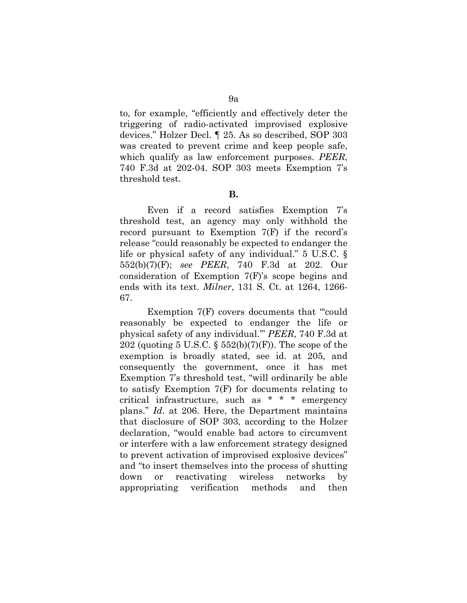to, for example, "efficiently and effectively deter the triggering of radio-activated improvised explosive devices." Holzer Decl. ¶ 25. As so described, SOP 303 was created to prevent crime and keep people safe, which qualify as law enforcement purposes. *PEER*, 740 F.3d at 202-04. SOP 303 meets Exemption 7's threshold test.

**B.**

Even if a record satisfies Exemption 7's threshold test, an agency may only withhold the record pursuant to Exemption 7(F) if the record's release "could reasonably be expected to endanger the life or physical safety of any individual." 5 U.S.C. § 552(b)(7)(F); *see PEER*, 740 F.3d at 202. Our consideration of Exemption 7(F)'s scope begins and ends with its text. *Milner*, 131 S. Ct. at 1264, 1266- 67.

Exemption 7(F) covers documents that "could" reasonably be expected to endanger the life or physical safety of any individual.'" *PEER*, 740 F.3d at 202 (quoting 5 U.S.C.  $\S$  552(b)(7)(F)). The scope of the exemption is broadly stated, see id. at 205, and consequently the government, once it has met Exemption 7's threshold test, "will ordinarily be able to satisfy Exemption 7(F) for documents relating to critical infrastructure, such as \* \* \* emergency plans." *Id*. at 206. Here, the Department maintains that disclosure of SOP 303, according to the Holzer declaration, "would enable bad actors to circumvent or interfere with a law enforcement strategy designed to prevent activation of improvised explosive devices" and "to insert themselves into the process of shutting down or reactivating wireless networks by appropriating verification methods and then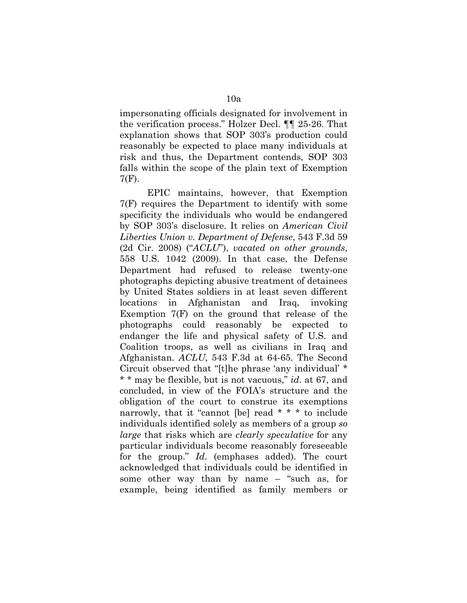impersonating officials designated for involvement in the verification process." Holzer Decl. ¶¶ 25-26. That explanation shows that SOP 303's production could reasonably be expected to place many individuals at risk and thus, the Department contends, SOP 303 falls within the scope of the plain text of Exemption 7(F).

EPIC maintains, however, that Exemption 7(F) requires the Department to identify with some specificity the individuals who would be endangered by SOP 303's disclosure. It relies on *American Civil Liberties Union v. Department of Defense*, 543 F.3d 59 (2d Cir. 2008) ("*ACLU*"), *vacated on other grounds*, 558 U.S. 1042 (2009). In that case, the Defense Department had refused to release twenty-one photographs depicting abusive treatment of detainees by United States soldiers in at least seven different locations in Afghanistan and Iraq, invoking Exemption 7(F) on the ground that release of the photographs could reasonably be expected to endanger the life and physical safety of U.S. and Coalition troops, as well as civilians in Iraq and Afghanistan. *ACLU*, 543 F.3d at 64-65. The Second Circuit observed that "[t]he phrase 'any individual' \* \* \* may be flexible, but is not vacuous," *id*. at 67, and concluded, in view of the FOIA's structure and the obligation of the court to construe its exemptions narrowly, that it "cannot [be] read \* \* \* to include individuals identified solely as members of a group *so large* that risks which are *clearly speculative* for any particular individuals become reasonably foreseeable for the group." *Id*. (emphases added). The court acknowledged that individuals could be identified in some other way than by name – "such as, for example, being identified as family members or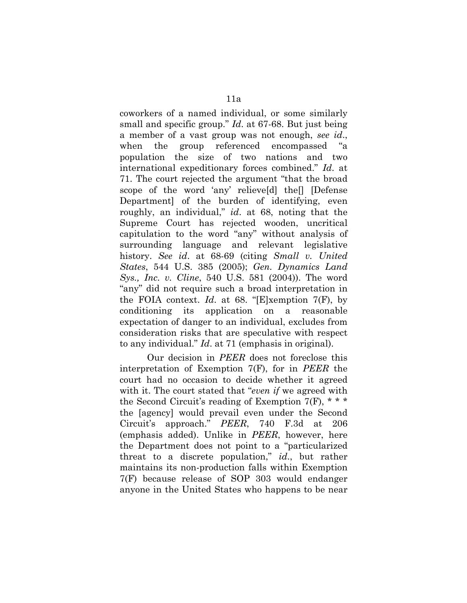coworkers of a named individual, or some similarly small and specific group." *Id*. at 67-68. But just being a member of a vast group was not enough, *see id*., when the group referenced encompassed "a population the size of two nations and two international expeditionary forces combined." *Id*. at 71. The court rejected the argument "that the broad scope of the word 'any' relieve[d] the[] [Defense Department] of the burden of identifying, even roughly, an individual," *id*. at 68, noting that the Supreme Court has rejected wooden, uncritical capitulation to the word "any" without analysis of surrounding language and relevant legislative history. *See id*. at 68-69 (citing *Small v. United States*, 544 U.S. 385 (2005); *Gen. Dynamics Land Sys., Inc. v. Cline*, 540 U.S. 581 (2004)). The word "any" did not require such a broad interpretation in the FOIA context. *Id*. at 68. "[E]xemption 7(F), by conditioning its application on a reasonable expectation of danger to an individual, excludes from consideration risks that are speculative with respect to any individual." *Id*. at 71 (emphasis in original).

Our decision in *PEER* does not foreclose this interpretation of Exemption 7(F), for in *PEER* the court had no occasion to decide whether it agreed with it. The court stated that "*even if* we agreed with the Second Circuit's reading of Exemption 7(F),  $* * *$ the [agency] would prevail even under the Second Circuit's approach." *PEER*, 740 F.3d at 206 (emphasis added). Unlike in *PEER*, however, here the Department does not point to a "particularized threat to a discrete population," *id*., but rather maintains its non-production falls within Exemption 7(F) because release of SOP 303 would endanger anyone in the United States who happens to be near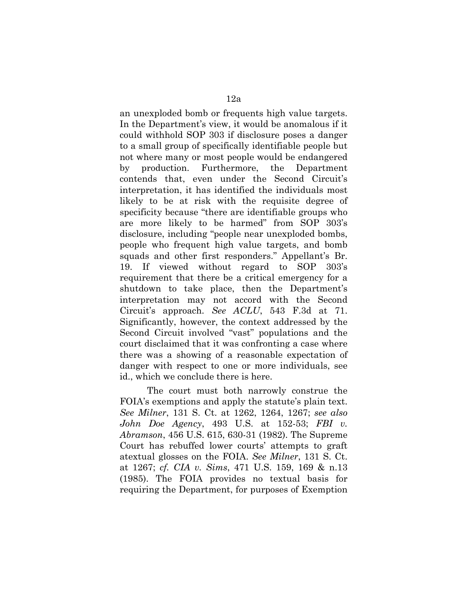an unexploded bomb or frequents high value targets. In the Department's view, it would be anomalous if it could withhold SOP 303 if disclosure poses a danger to a small group of specifically identifiable people but not where many or most people would be endangered by production. Furthermore, the Department contends that, even under the Second Circuit's interpretation, it has identified the individuals most likely to be at risk with the requisite degree of specificity because "there are identifiable groups who are more likely to be harmed" from SOP 303's disclosure, including "people near unexploded bombs, people who frequent high value targets, and bomb squads and other first responders." Appellant's Br. 19. If viewed without regard to SOP 303's requirement that there be a critical emergency for a shutdown to take place, then the Department's interpretation may not accord with the Second Circuit's approach. *See ACLU*, 543 F.3d at 71. Significantly, however, the context addressed by the Second Circuit involved "vast" populations and the court disclaimed that it was confronting a case where there was a showing of a reasonable expectation of danger with respect to one or more individuals, see id., which we conclude there is here.

The court must both narrowly construe the FOIA's exemptions and apply the statute's plain text. *See Milner*, 131 S. Ct. at 1262, 1264, 1267; *see also John Doe Agency*, 493 U.S. at 152-53; *FBI v. Abramson*, 456 U.S. 615, 630-31 (1982). The Supreme Court has rebuffed lower courts' attempts to graft atextual glosses on the FOIA. *See Milner*, 131 S. Ct. at 1267; *cf. CIA v. Sims*, 471 U.S. 159, 169 & n.13 (1985). The FOIA provides no textual basis for requiring the Department, for purposes of Exemption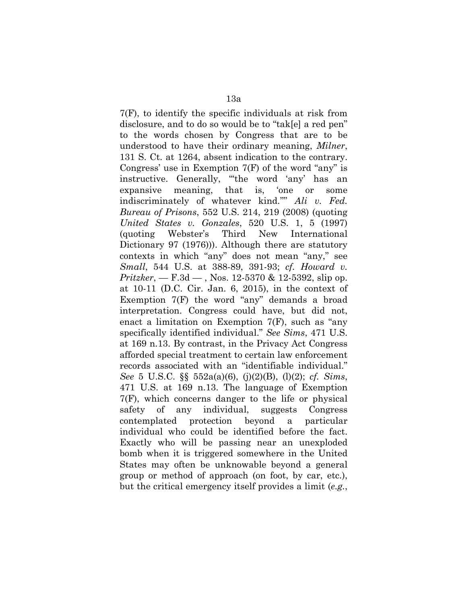7(F), to identify the specific individuals at risk from disclosure, and to do so would be to "tak[e] a red pen" to the words chosen by Congress that are to be understood to have their ordinary meaning, *Milner*, 131 S. Ct. at 1264, absent indication to the contrary. Congress' use in Exemption 7(F) of the word "any" is instructive. Generally, "'the word 'any' has an expansive meaning, that is, 'one or some indiscriminately of whatever kind.''" *Ali v. Fed. Bureau of Prisons*, 552 U.S. 214, 219 (2008) (quoting *United States v. Gonzales*, 520 U.S. 1, 5 (1997) (quoting Webster's Third New International Dictionary 97 (1976))). Although there are statutory contexts in which "any" does not mean "any," see *Small*, 544 U.S. at 388-89, 391-93; *cf. Howard v. Pritzker*, — F.3d — , Nos. 12-5370 & 12-5392, slip op. at 10-11 (D.C. Cir. Jan. 6, 2015), in the context of Exemption 7(F) the word "any" demands a broad interpretation. Congress could have, but did not, enact a limitation on Exemption 7(F), such as "any specifically identified individual." *See Sims*, 471 U.S. at 169 n.13. By contrast, in the Privacy Act Congress afforded special treatment to certain law enforcement records associated with an "identifiable individual." *See* 5 U.S.C. §§ 552a(a)(6), (j)(2)(B), (l)(2); *cf. Sims*, 471 U.S. at 169 n.13. The language of Exemption 7(F), which concerns danger to the life or physical safety of any individual, suggests Congress contemplated protection beyond a particular individual who could be identified before the fact. Exactly who will be passing near an unexploded bomb when it is triggered somewhere in the United States may often be unknowable beyond a general group or method of approach (on foot, by car, etc.), but the critical emergency itself provides a limit (*e.g.*,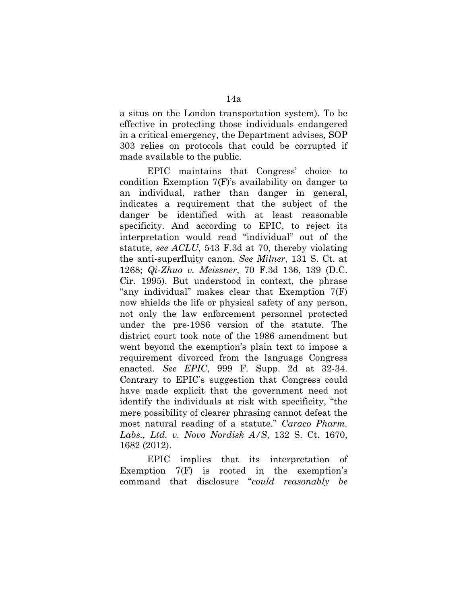a situs on the London transportation system). To be effective in protecting those individuals endangered in a critical emergency, the Department advises, SOP 303 relies on protocols that could be corrupted if made available to the public.

EPIC maintains that Congress' choice to condition Exemption 7(F)'s availability on danger to an individual, rather than danger in general, indicates a requirement that the subject of the danger be identified with at least reasonable specificity. And according to EPIC, to reject its interpretation would read "individual" out of the statute, *see ACLU*, 543 F.3d at 70, thereby violating the anti-superfluity canon. *See Milner*, 131 S. Ct. at 1268; *Qi-Zhuo v. Meissner*, 70 F.3d 136, 139 (D.C. Cir. 1995). But understood in context, the phrase "any individual" makes clear that Exemption 7(F) now shields the life or physical safety of any person, not only the law enforcement personnel protected under the pre-1986 version of the statute. The district court took note of the 1986 amendment but went beyond the exemption's plain text to impose a requirement divorced from the language Congress enacted. *See EPIC*, 999 F. Supp. 2d at 32-34. Contrary to EPIC's suggestion that Congress could have made explicit that the government need not identify the individuals at risk with specificity, "the mere possibility of clearer phrasing cannot defeat the most natural reading of a statute." *Caraco Pharm. Labs., Ltd. v. Novo Nordisk A/S*, 132 S. Ct. 1670, 1682 (2012).

EPIC implies that its interpretation of Exemption 7(F) is rooted in the exemption's command that disclosure "*could reasonably be*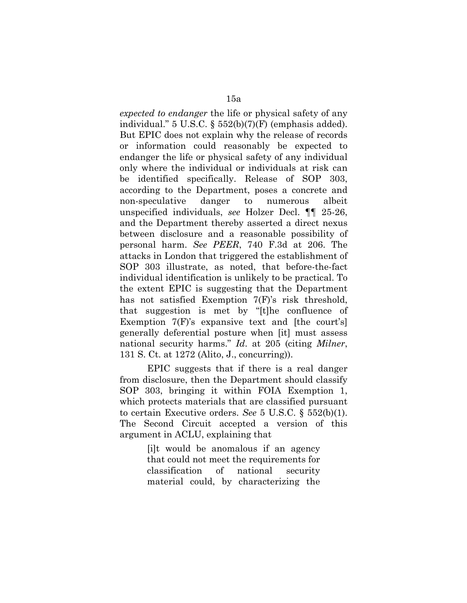*expected to endanger* the life or physical safety of any individual." 5 U.S.C. § 552(b)(7)(F) (emphasis added). But EPIC does not explain why the release of records or information could reasonably be expected to endanger the life or physical safety of any individual only where the individual or individuals at risk can be identified specifically. Release of SOP 303, according to the Department, poses a concrete and non-speculative danger to numerous albeit unspecified individuals, *see* Holzer Decl. ¶¶ 25-26, and the Department thereby asserted a direct nexus between disclosure and a reasonable possibility of personal harm. *See PEER*, 740 F.3d at 206. The attacks in London that triggered the establishment of SOP 303 illustrate, as noted, that before-the-fact individual identification is unlikely to be practical. To the extent EPIC is suggesting that the Department has not satisfied Exemption 7(F)'s risk threshold, that suggestion is met by "[t]he confluence of Exemption 7(F)'s expansive text and [the court's] generally deferential posture when [it] must assess national security harms." *Id*. at 205 (citing *Milner*, 131 S. Ct. at 1272 (Alito, J., concurring)).

EPIC suggests that if there is a real danger from disclosure, then the Department should classify SOP 303, bringing it within FOIA Exemption 1, which protects materials that are classified pursuant to certain Executive orders. *See* 5 U.S.C. § 552(b)(1). The Second Circuit accepted a version of this argument in ACLU, explaining that

> [i]t would be anomalous if an agency that could not meet the requirements for classification of national security material could, by characterizing the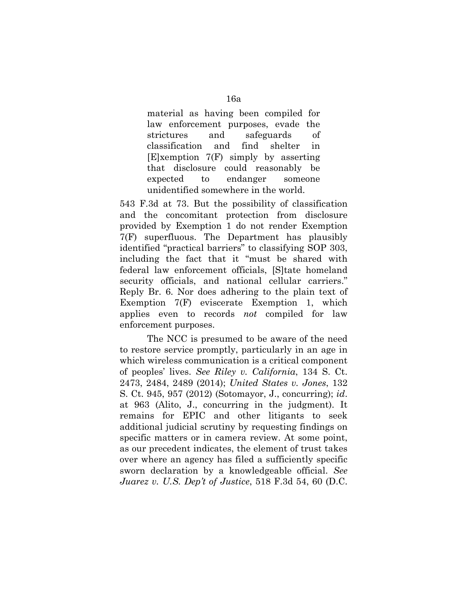material as having been compiled for law enforcement purposes, evade the strictures and safeguards of classification and find shelter in [E]xemption 7(F) simply by asserting that disclosure could reasonably be expected to endanger someone unidentified somewhere in the world.

543 F.3d at 73. But the possibility of classification and the concomitant protection from disclosure provided by Exemption 1 do not render Exemption 7(F) superfluous. The Department has plausibly identified "practical barriers" to classifying SOP 303, including the fact that it "must be shared with federal law enforcement officials, [S]tate homeland security officials, and national cellular carriers." Reply Br. 6. Nor does adhering to the plain text of Exemption 7(F) eviscerate Exemption 1, which applies even to records *not* compiled for law enforcement purposes.

The NCC is presumed to be aware of the need to restore service promptly, particularly in an age in which wireless communication is a critical component of peoples' lives. *See Riley v. California*, 134 S. Ct. 2473, 2484, 2489 (2014); *United States v. Jones*, 132 S. Ct. 945, 957 (2012) (Sotomayor, J., concurring); *id*. at 963 (Alito, J., concurring in the judgment). It remains for EPIC and other litigants to seek additional judicial scrutiny by requesting findings on specific matters or in camera review. At some point, as our precedent indicates, the element of trust takes over where an agency has filed a sufficiently specific sworn declaration by a knowledgeable official. *See Juarez v. U.S. Dep't of Justice*, 518 F.3d 54, 60 (D.C.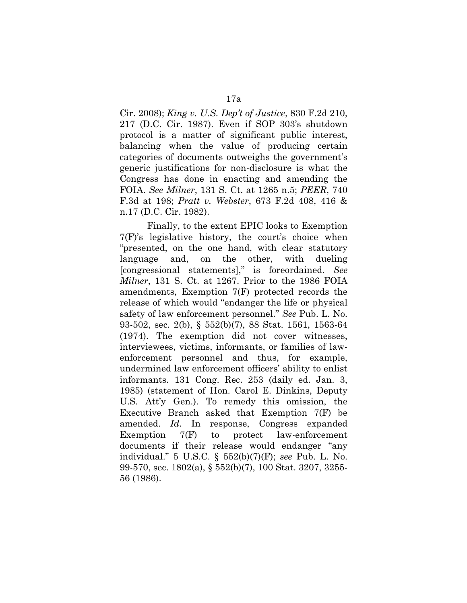Cir. 2008); *King v. U.S. Dep't of Justice*, 830 F.2d 210, 217 (D.C. Cir. 1987). Even if SOP 303's shutdown protocol is a matter of significant public interest, balancing when the value of producing certain categories of documents outweighs the government's generic justifications for non-disclosure is what the Congress has done in enacting and amending the FOIA. *See Milner*, 131 S. Ct. at 1265 n.5; *PEER*, 740 F.3d at 198; *Pratt v. Webster*, 673 F.2d 408, 416 & n.17 (D.C. Cir. 1982).

Finally, to the extent EPIC looks to Exemption 7(F)'s legislative history, the court's choice when "presented, on the one hand, with clear statutory language and, on the other, with dueling [congressional statements]," is foreordained. *See Milner*, 131 S. Ct. at 1267. Prior to the 1986 FOIA amendments, Exemption 7(F) protected records the release of which would "endanger the life or physical safety of law enforcement personnel." *See* Pub. L. No. 93-502, sec. 2(b), § 552(b)(7), 88 Stat. 1561, 1563-64 (1974). The exemption did not cover witnesses, interviewees, victims, informants, or families of lawenforcement personnel and thus, for example, undermined law enforcement officers' ability to enlist informants. 131 Cong. Rec. 253 (daily ed. Jan. 3, 1985) (statement of Hon. Carol E. Dinkins, Deputy U.S. Att'y Gen.). To remedy this omission, the Executive Branch asked that Exemption 7(F) be amended. *Id*. In response, Congress expanded Exemption 7(F) to protect law-enforcement documents if their release would endanger "any individual." 5 U.S.C. § 552(b)(7)(F); *see* Pub. L. No. 99-570, sec. 1802(a), § 552(b)(7), 100 Stat. 3207, 3255- 56 (1986).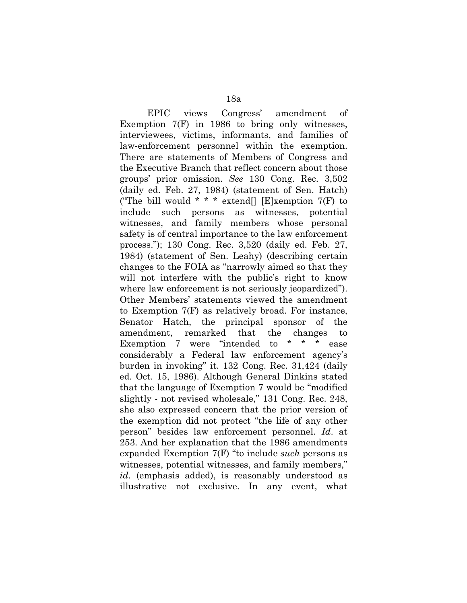EPIC views Congress' amendment of Exemption 7(F) in 1986 to bring only witnesses, interviewees, victims, informants, and families of law-enforcement personnel within the exemption. There are statements of Members of Congress and the Executive Branch that reflect concern about those groups' prior omission. *See* 130 Cong. Rec. 3,502 (daily ed. Feb. 27, 1984) (statement of Sen. Hatch) ("The bill would  $* * *$  extend[] [E]xemption 7(F) to include such persons as witnesses, potential witnesses, and family members whose personal safety is of central importance to the law enforcement process."); 130 Cong. Rec. 3,520 (daily ed. Feb. 27, 1984) (statement of Sen. Leahy) (describing certain changes to the FOIA as "narrowly aimed so that they will not interfere with the public's right to know where law enforcement is not seriously jeopardized"). Other Members' statements viewed the amendment to Exemption 7(F) as relatively broad. For instance, Senator Hatch, the principal sponsor of the amendment, remarked that the changes to Exemption 7 were "intended to \* \* \* ease considerably a Federal law enforcement agency's burden in invoking" it. 132 Cong. Rec. 31,424 (daily ed. Oct. 15, 1986). Although General Dinkins stated that the language of Exemption 7 would be "modified slightly - not revised wholesale," 131 Cong. Rec. 248, she also expressed concern that the prior version of the exemption did not protect "the life of any other person" besides law enforcement personnel. *Id*. at 253. And her explanation that the 1986 amendments expanded Exemption 7(F) "to include *such* persons as witnesses, potential witnesses, and family members," *id*. (emphasis added), is reasonably understood as illustrative not exclusive. In any event, what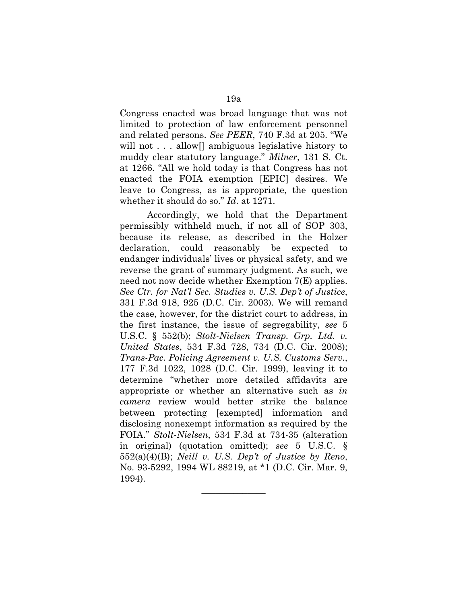Congress enacted was broad language that was not limited to protection of law enforcement personnel and related persons. *See PEER*, 740 F.3d at 205. "We will not . . . allow<sup>[]</sup> ambiguous legislative history to muddy clear statutory language." *Milner*, 131 S. Ct. at 1266. "All we hold today is that Congress has not enacted the FOIA exemption [EPIC] desires. We leave to Congress, as is appropriate, the question whether it should do so." *Id*. at 1271.

Accordingly, we hold that the Department permissibly withheld much, if not all of SOP 303, because its release, as described in the Holzer declaration, could reasonably be expected to endanger individuals' lives or physical safety, and we reverse the grant of summary judgment. As such, we need not now decide whether Exemption 7(E) applies. *See Ctr. for Nat'l Sec. Studies v. U.S. Dep't of Justice*, 331 F.3d 918, 925 (D.C. Cir. 2003). We will remand the case, however, for the district court to address, in the first instance, the issue of segregability, *see* 5 U.S.C. § 552(b); *Stolt-Nielsen Transp. Grp. Ltd. v. United States*, 534 F.3d 728, 734 (D.C. Cir. 2008); *Trans-Pac. Policing Agreement v. U.S. Customs Serv.*, 177 F.3d 1022, 1028 (D.C. Cir. 1999), leaving it to determine "whether more detailed affidavits are appropriate or whether an alternative such as *in camera* review would better strike the balance between protecting [exempted] information and disclosing nonexempt information as required by the FOIA." *Stolt-Nielsen*, 534 F.3d at 734-35 (alteration in original) (quotation omitted); *see* 5 U.S.C. § 552(a)(4)(B); *Neill v. U.S. Dep't of Justice by Reno*, No. 93-5292, 1994 WL 88219, at \*1 (D.C. Cir. Mar. 9, 1994).

 $\overline{\phantom{a}}$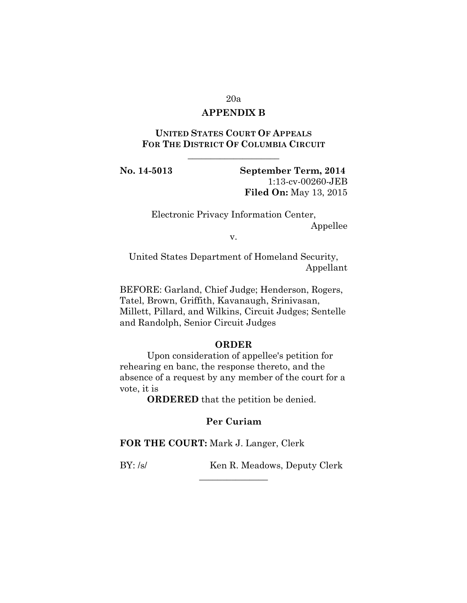#### 20a

# **APPENDIX B**

# **UNITED STATES COURT OF APPEALS FOR THE DISTRICT OF COLUMBIA CIRCUIT**

\_\_\_\_\_\_\_\_\_\_\_\_\_\_\_\_\_\_\_\_

**No. 14-5013 September Term, 2014** 1:13-cv-00260-JEB **Filed On:** May 13, 2015

> Electronic Privacy Information Center, Appellee

> > v.

United States Department of Homeland Security, Appellant

BEFORE: Garland, Chief Judge; Henderson, Rogers, Tatel, Brown, Griffith, Kavanaugh, Srinivasan, Millett, Pillard, and Wilkins, Circuit Judges; Sentelle and Randolph, Senior Circuit Judges

#### **ORDER**

Upon consideration of appellee's petition for rehearing en banc, the response thereto, and the absence of a request by any member of the court for a vote, it is

**ORDERED** that the petition be denied.

## **Per Curiam**

**FOR THE COURT:** Mark J. Langer, Clerk

BY: /s/ Ken R. Meadows, Deputy Clerk  $\overline{\phantom{a}}$  , where  $\overline{\phantom{a}}$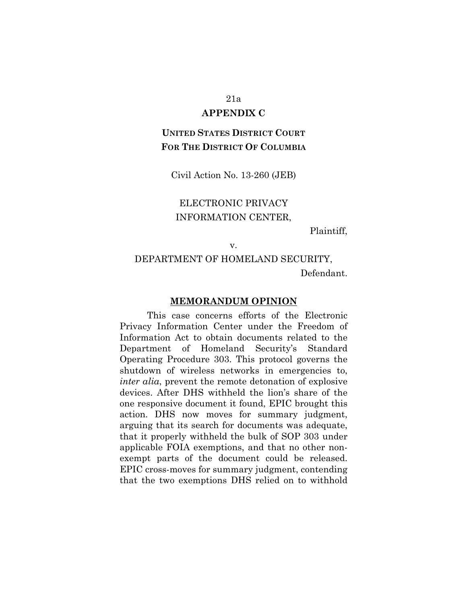#### 21a

#### **APPENDIX C**

# **UNITED STATES DISTRICT COURT FOR THE DISTRICT OF COLUMBIA**

Civil Action No. 13-260 (JEB)

# ELECTRONIC PRIVACY INFORMATION CENTER,

Plaintiff,

#### v.

# DEPARTMENT OF HOMELAND SECURITY, Defendant.

#### **MEMORANDUM OPINION**

This case concerns efforts of the Electronic Privacy Information Center under the Freedom of Information Act to obtain documents related to the Department of Homeland Security's Standard Operating Procedure 303. This protocol governs the shutdown of wireless networks in emergencies to, *inter alia*, prevent the remote detonation of explosive devices. After DHS withheld the lion's share of the one responsive document it found, EPIC brought this action. DHS now moves for summary judgment, arguing that its search for documents was adequate, that it properly withheld the bulk of SOP 303 under applicable FOIA exemptions, and that no other nonexempt parts of the document could be released. EPIC cross-moves for summary judgment, contending that the two exemptions DHS relied on to withhold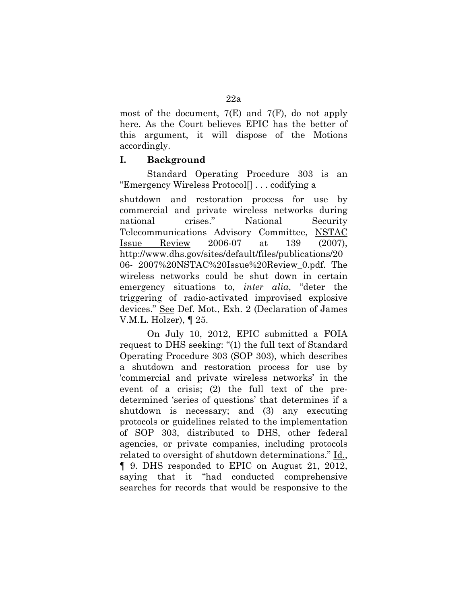most of the document,  $7(E)$  and  $7(F)$ , do not apply here. As the Court believes EPIC has the better of this argument, it will dispose of the Motions accordingly.

## **I. Background**

Standard Operating Procedure 303 is an "Emergency Wireless Protocol[] . . . codifying a

shutdown and restoration process for use by commercial and private wireless networks during national crises." National Security Telecommunications Advisory Committee, NSTAC Issue Review 2006-07 at 139 (2007), http://www.dhs.gov/sites/default/files/publications/20 06- 2007%20NSTAC%20Issue%20Review\_0.pdf. The wireless networks could be shut down in certain emergency situations to, *inter alia*, "deter the triggering of radio-activated improvised explosive devices." See Def. Mot., Exh. 2 (Declaration of James V.M.L. Holzer), ¶ 25.

On July 10, 2012, EPIC submitted a FOIA request to DHS seeking: "(1) the full text of Standard Operating Procedure 303 (SOP 303), which describes a shutdown and restoration process for use by 'commercial and private wireless networks' in the event of a crisis; (2) the full text of the predetermined 'series of questions' that determines if a shutdown is necessary; and (3) any executing protocols or guidelines related to the implementation of SOP 303, distributed to DHS, other federal agencies, or private companies, including protocols related to oversight of shutdown determinations." Id., ¶ 9. DHS responded to EPIC on August 21, 2012, saying that it "had conducted comprehensive searches for records that would be responsive to the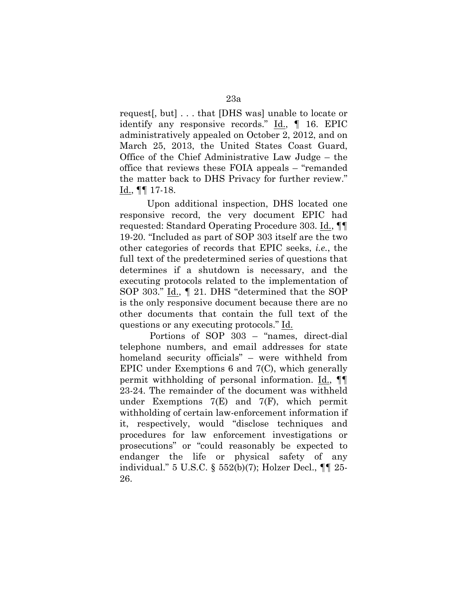request[, but] . . . that [DHS was] unable to locate or identify any responsive records."  $\underline{Id}$ ,  $\P$  16. EPIC administratively appealed on October 2, 2012, and on March 25, 2013, the United States Coast Guard, Office of the Chief Administrative Law Judge – the office that reviews these FOIA appeals – "remanded the matter back to DHS Privacy for further review." Id., ¶¶ 17-18.

Upon additional inspection, DHS located one responsive record, the very document EPIC had requested: Standard Operating Procedure 303. Id., ¶¶ 19-20. "Included as part of SOP 303 itself are the two other categories of records that EPIC seeks, *i.e.*, the full text of the predetermined series of questions that determines if a shutdown is necessary, and the executing protocols related to the implementation of SOP 303." Id., ¶ 21. DHS "determined that the SOP is the only responsive document because there are no other documents that contain the full text of the questions or any executing protocols." Id.

Portions of SOP 303 – "names, direct-dial telephone numbers, and email addresses for state homeland security officials" – were withheld from EPIC under Exemptions 6 and 7(C), which generally permit withholding of personal information. Id., ¶¶ 23-24. The remainder of the document was withheld under Exemptions 7(E) and 7(F), which permit withholding of certain law-enforcement information if it, respectively, would "disclose techniques and procedures for law enforcement investigations or prosecutions" or "could reasonably be expected to endanger the life or physical safety of any individual." 5 U.S.C. § 552(b)(7); Holzer Decl., ¶¶ 25- 26.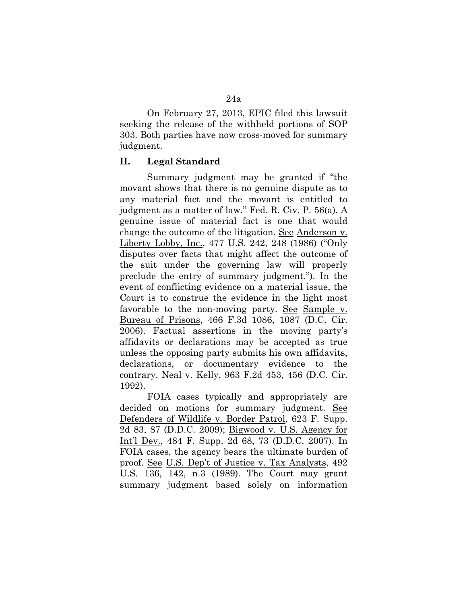On February 27, 2013, EPIC filed this lawsuit seeking the release of the withheld portions of SOP 303. Both parties have now cross-moved for summary judgment.

#### **II. Legal Standard**

Summary judgment may be granted if "the movant shows that there is no genuine dispute as to any material fact and the movant is entitled to judgment as a matter of law." Fed. R. Civ. P. 56(a). A genuine issue of material fact is one that would change the outcome of the litigation. See Anderson v. Liberty Lobby, Inc., 477 U.S. 242, 248 (1986) ("Only disputes over facts that might affect the outcome of the suit under the governing law will properly preclude the entry of summary judgment."). In the event of conflicting evidence on a material issue, the Court is to construe the evidence in the light most favorable to the non-moving party. See Sample v. Bureau of Prisons, 466 F.3d 1086, 1087 (D.C. Cir. 2006). Factual assertions in the moving party's affidavits or declarations may be accepted as true unless the opposing party submits his own affidavits, declarations, or documentary evidence to the contrary. Neal v. Kelly, 963 F.2d 453, 456 (D.C. Cir. 1992).

FOIA cases typically and appropriately are decided on motions for summary judgment. See Defenders of Wildlife v. Border Patrol, 623 F. Supp. 2d 83, 87 (D.D.C. 2009); Bigwood v. U.S. Agency for Int'l Dev., 484 F. Supp. 2d 68, 73 (D.D.C. 2007). In FOIA cases, the agency bears the ultimate burden of proof. See U.S. Dep't of Justice v. Tax Analysts, 492 U.S. 136, 142, n.3 (1989). The Court may grant summary judgment based solely on information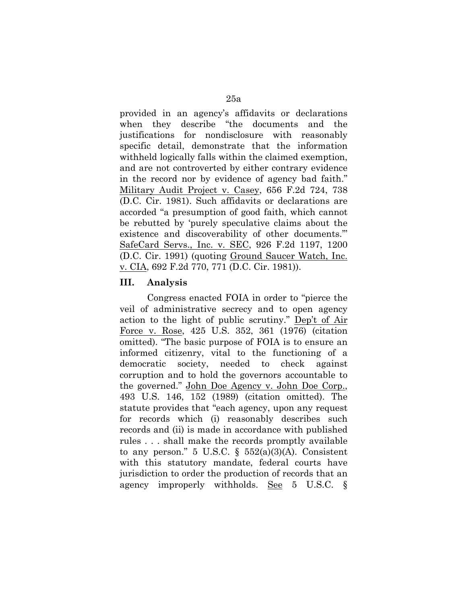provided in an agency's affidavits or declarations when they describe "the documents and the justifications for nondisclosure with reasonably specific detail, demonstrate that the information withheld logically falls within the claimed exemption, and are not controverted by either contrary evidence in the record nor by evidence of agency bad faith." Military Audit Project v. Casey, 656 F.2d 724, 738 (D.C. Cir. 1981). Such affidavits or declarations are accorded "a presumption of good faith, which cannot be rebutted by 'purely speculative claims about the existence and discoverability of other documents.'" SafeCard Servs., Inc. v. SEC, 926 F.2d 1197, 1200 (D.C. Cir. 1991) (quoting Ground Saucer Watch, Inc. v. CIA, 692 F.2d 770, 771 (D.C. Cir. 1981)).

## **III. Analysis**

Congress enacted FOIA in order to "pierce the veil of administrative secrecy and to open agency action to the light of public scrutiny." Dep't of Air Force v. Rose, 425 U.S. 352, 361 (1976) (citation omitted). "The basic purpose of FOIA is to ensure an informed citizenry, vital to the functioning of a democratic society, needed to check against corruption and to hold the governors accountable to the governed." John Doe Agency v. John Doe Corp., 493 U.S. 146, 152 (1989) (citation omitted). The statute provides that "each agency, upon any request for records which (i) reasonably describes such records and (ii) is made in accordance with published rules . . . shall make the records promptly available to any person." 5 U.S.C.  $\S$  552(a)(3)(A). Consistent with this statutory mandate, federal courts have jurisdiction to order the production of records that an agency improperly withholds. See 5 U.S.C. §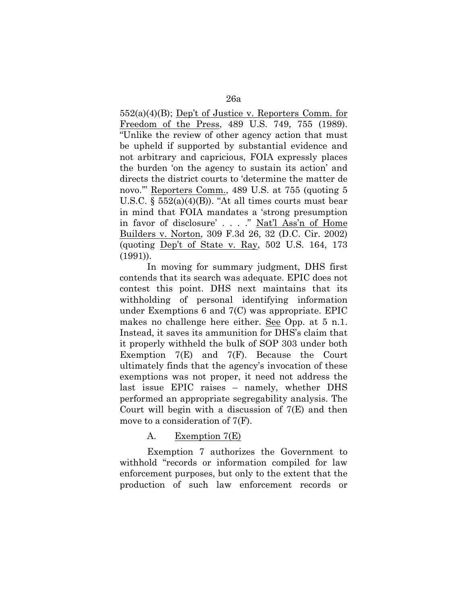552(a)(4)(B); Dep't of Justice v. Reporters Comm. for Freedom of the Press, 489 U.S. 749, 755 (1989). "Unlike the review of other agency action that must be upheld if supported by substantial evidence and not arbitrary and capricious, FOIA expressly places the burden 'on the agency to sustain its action' and directs the district courts to 'determine the matter de novo.'" Reporters Comm., 489 U.S. at 755 (quoting 5 U.S.C.  $\S$  552(a)(4)(B)). "At all times courts must bear in mind that FOIA mandates a 'strong presumption in favor of disclosure' . . . ." Nat'l Ass'n of Home Builders v. Norton, 309 F.3d 26, 32 (D.C. Cir. 2002) (quoting Dep't of State v. Ray, 502 U.S. 164, 173 (1991)).

In moving for summary judgment, DHS first contends that its search was adequate. EPIC does not contest this point. DHS next maintains that its withholding of personal identifying information under Exemptions 6 and 7(C) was appropriate. EPIC makes no challenge here either. See Opp. at 5 n.1. Instead, it saves its ammunition for DHS's claim that it properly withheld the bulk of SOP 303 under both Exemption 7(E) and 7(F). Because the Court ultimately finds that the agency's invocation of these exemptions was not proper, it need not address the last issue EPIC raises – namely, whether DHS performed an appropriate segregability analysis. The Court will begin with a discussion of  $7(E)$  and then move to a consideration of 7(F).

# A. Exemption 7(E)

Exemption 7 authorizes the Government to withhold "records or information compiled for law enforcement purposes, but only to the extent that the production of such law enforcement records or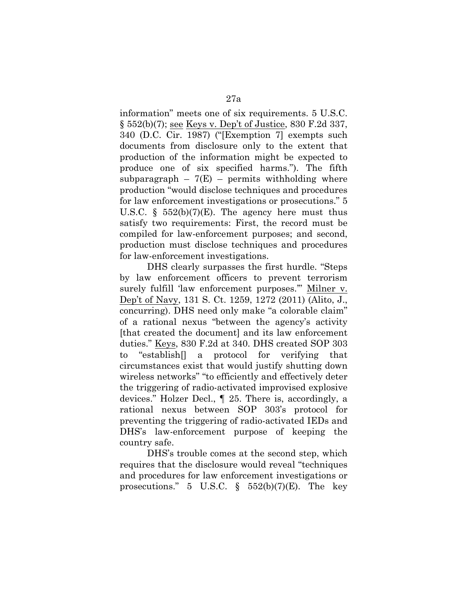information" meets one of six requirements. 5 U.S.C. § 552(b)(7); see Keys v. Dep't of Justice, 830 F.2d 337, 340 (D.C. Cir. 1987) ("[Exemption 7] exempts such documents from disclosure only to the extent that production of the information might be expected to produce one of six specified harms."). The fifth subparagraph  $-7(E)$  – permits withholding where production "would disclose techniques and procedures for law enforcement investigations or prosecutions." 5 U.S.C.  $\S$  552(b)(7)(E). The agency here must thus satisfy two requirements: First, the record must be compiled for law-enforcement purposes; and second, production must disclose techniques and procedures for law-enforcement investigations.

DHS clearly surpasses the first hurdle. "Steps by law enforcement officers to prevent terrorism surely fulfill 'law enforcement purposes.'" Milner v. Dep't of Navy, 131 S. Ct. 1259, 1272 (2011) (Alito, J., concurring). DHS need only make "a colorable claim" of a rational nexus "between the agency's activity [that created the document] and its law enforcement duties." Keys, 830 F.2d at 340. DHS created SOP 303 to "establish[] a protocol for verifying that circumstances exist that would justify shutting down wireless networks" "to efficiently and effectively deter the triggering of radio-activated improvised explosive devices." Holzer Decl., ¶ 25. There is, accordingly, a rational nexus between SOP 303's protocol for preventing the triggering of radio-activated IEDs and DHS's law-enforcement purpose of keeping the country safe.

DHS's trouble comes at the second step, which requires that the disclosure would reveal "techniques and procedures for law enforcement investigations or prosecutions." 5 U.S.C.  $\S$  552(b)(7)(E). The key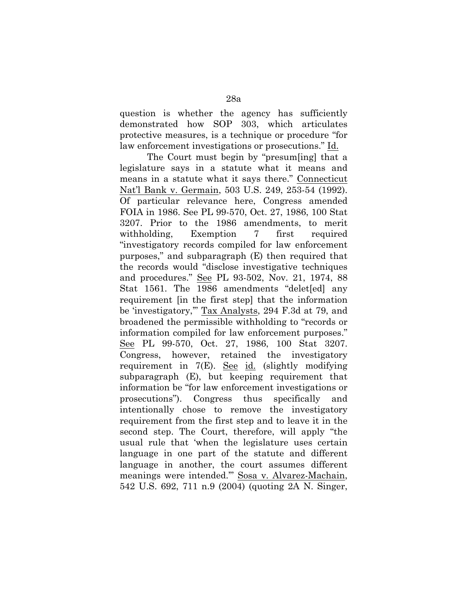question is whether the agency has sufficiently demonstrated how SOP 303, which articulates protective measures, is a technique or procedure "for law enforcement investigations or prosecutions." Id.

The Court must begin by "presum[ing] that a legislature says in a statute what it means and means in a statute what it says there." Connecticut Nat'l Bank v. Germain, 503 U.S. 249, 253-54 (1992). Of particular relevance here, Congress amended FOIA in 1986. See PL 99-570, Oct. 27, 1986, 100 Stat 3207. Prior to the 1986 amendments, to merit withholding, Exemption 7 first required "investigatory records compiled for law enforcement purposes," and subparagraph (E) then required that the records would "disclose investigative techniques and procedures." See PL 93-502, Nov. 21, 1974, 88 Stat 1561. The 1986 amendments "delet[ed] any requirement [in the first step] that the information be 'investigatory,'" Tax Analysts, 294 F.3d at 79, and broadened the permissible withholding to "records or information compiled for law enforcement purposes." See PL 99-570, Oct. 27, 1986, 100 Stat 3207. Congress, however, retained the investigatory requirement in 7(E). See id. (slightly modifying subparagraph (E), but keeping requirement that information be "for law enforcement investigations or prosecutions"). Congress thus specifically and intentionally chose to remove the investigatory requirement from the first step and to leave it in the second step. The Court, therefore, will apply "the usual rule that 'when the legislature uses certain language in one part of the statute and different language in another, the court assumes different meanings were intended.'" Sosa v. Alvarez-Machain, 542 U.S. 692, 711 n.9 (2004) (quoting 2A N. Singer,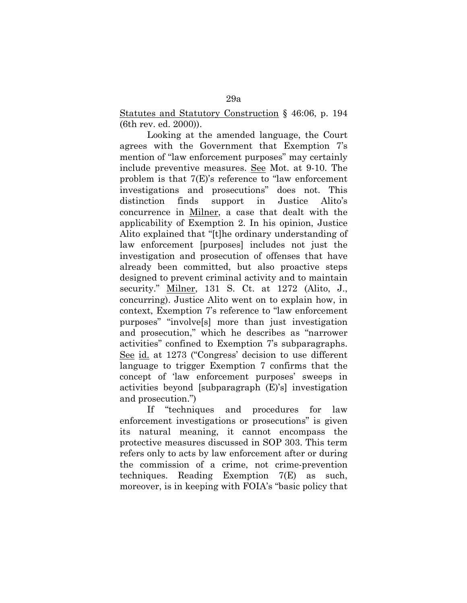Statutes and Statutory Construction § 46:06, p. 194 (6th rev. ed. 2000)).

Looking at the amended language, the Court agrees with the Government that Exemption 7's mention of "law enforcement purposes" may certainly include preventive measures. See Mot. at 9-10. The problem is that 7(E)'s reference to "law enforcement investigations and prosecutions" does not. This distinction finds support in Justice Alito's concurrence in Milner, a case that dealt with the applicability of Exemption 2. In his opinion, Justice Alito explained that "[t]he ordinary understanding of law enforcement [purposes] includes not just the investigation and prosecution of offenses that have already been committed, but also proactive steps designed to prevent criminal activity and to maintain security." Milner, 131 S. Ct. at 1272 (Alito, J., concurring). Justice Alito went on to explain how, in context, Exemption 7's reference to "law enforcement purposes" "involve[s] more than just investigation and prosecution," which he describes as "narrower activities" confined to Exemption 7's subparagraphs. See id. at 1273 ("Congress' decision to use different language to trigger Exemption 7 confirms that the concept of 'law enforcement purposes' sweeps in activities beyond [subparagraph (E)'s] investigation and prosecution.")

If "techniques and procedures for law enforcement investigations or prosecutions" is given its natural meaning, it cannot encompass the protective measures discussed in SOP 303. This term refers only to acts by law enforcement after or during the commission of a crime, not crime-prevention techniques. Reading Exemption 7(E) as such, moreover, is in keeping with FOIA's "basic policy that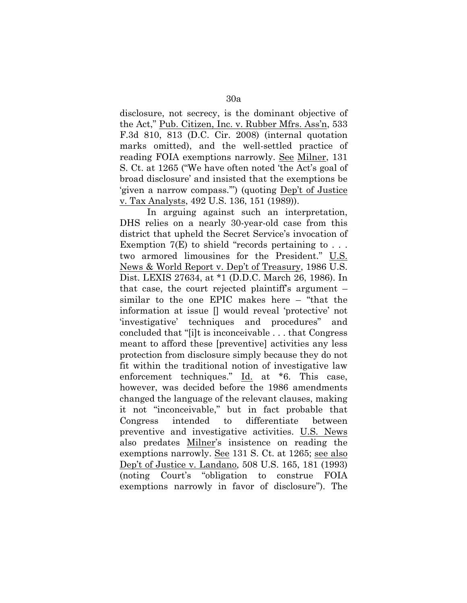disclosure, not secrecy, is the dominant objective of the Act," Pub. Citizen, Inc. v. Rubber Mfrs. Ass'n, 533 F.3d 810, 813 (D.C. Cir. 2008) (internal quotation marks omitted), and the well-settled practice of reading FOIA exemptions narrowly. See Milner, 131 S. Ct. at 1265 ("We have often noted 'the Act's goal of broad disclosure' and insisted that the exemptions be 'given a narrow compass.'") (quoting Dep't of Justice v. Tax Analysts, 492 U.S. 136, 151 (1989)).

In arguing against such an interpretation, DHS relies on a nearly 30-year-old case from this district that upheld the Secret Service's invocation of Exemption  $7(E)$  to shield "records pertaining to ... two armored limousines for the President." U.S. News & World Report v. Dep't of Treasury, 1986 U.S. Dist. LEXIS 27634, at \*1 (D.D.C. March 26, 1986). In that case, the court rejected plaintiff's argument – similar to the one EPIC makes here – "that the information at issue [] would reveal 'protective' not 'investigative' techniques and procedures" and concluded that "[i]t is inconceivable . . . that Congress meant to afford these [preventive] activities any less protection from disclosure simply because they do not fit within the traditional notion of investigative law enforcement techniques." Id. at \*6. This case, however, was decided before the 1986 amendments changed the language of the relevant clauses, making it not "inconceivable," but in fact probable that Congress intended to differentiate between preventive and investigative activities. U.S. News also predates Milner's insistence on reading the exemptions narrowly. See 131 S. Ct. at 1265; see also Dep't of Justice v. Landano, 508 U.S. 165, 181 (1993) (noting Court's "obligation to construe FOIA exemptions narrowly in favor of disclosure"). The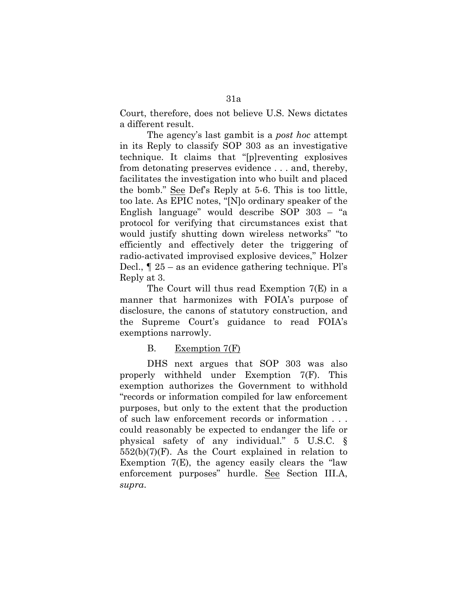Court, therefore, does not believe U.S. News dictates a different result.

The agency's last gambit is a *post hoc* attempt in its Reply to classify SOP 303 as an investigative technique. It claims that "[p]reventing explosives from detonating preserves evidence . . . and, thereby, facilitates the investigation into who built and placed the bomb." See Def's Reply at 5-6. This is too little, too late. As EPIC notes, "[N]o ordinary speaker of the English language" would describe SOP 303 – "a protocol for verifying that circumstances exist that would justify shutting down wireless networks" "to efficiently and effectively deter the triggering of radio-activated improvised explosive devices," Holzer Decl., ¶ 25 – as an evidence gathering technique. Pl's Reply at 3.

The Court will thus read Exemption 7(E) in a manner that harmonizes with FOIA's purpose of disclosure, the canons of statutory construction, and the Supreme Court's guidance to read FOIA's exemptions narrowly.

## B. Exemption 7(F)

DHS next argues that SOP 303 was also properly withheld under Exemption 7(F). This exemption authorizes the Government to withhold "records or information compiled for law enforcement purposes, but only to the extent that the production of such law enforcement records or information . . . could reasonably be expected to endanger the life or physical safety of any individual." 5 U.S.C. §  $552(b)(7)(F)$ . As the Court explained in relation to Exemption 7(E), the agency easily clears the "law enforcement purposes" hurdle. See Section III.A, *supra*.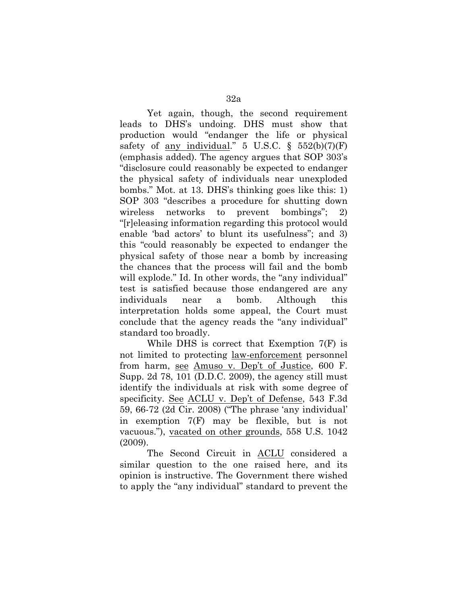Yet again, though, the second requirement leads to DHS's undoing. DHS must show that production would "endanger the life or physical safety of <u>any individual</u>." 5 U.S.C.  $\S$  552(b)(7)(F) (emphasis added). The agency argues that SOP 303's "disclosure could reasonably be expected to endanger the physical safety of individuals near unexploded bombs." Mot. at 13. DHS's thinking goes like this: 1) SOP 303 "describes a procedure for shutting down wireless networks to prevent bombings"; 2) "[r]eleasing information regarding this protocol would enable 'bad actors' to blunt its usefulness"; and 3) this "could reasonably be expected to endanger the physical safety of those near a bomb by increasing the chances that the process will fail and the bomb will explode." Id. In other words, the "any individual" test is satisfied because those endangered are any individuals near a bomb. Although this interpretation holds some appeal, the Court must conclude that the agency reads the "any individual" standard too broadly.

While DHS is correct that Exemption 7(F) is not limited to protecting law-enforcement personnel from harm, see Amuso v. Dep't of Justice, 600 F. Supp. 2d 78, 101 (D.D.C. 2009), the agency still must identify the individuals at risk with some degree of specificity. See ACLU v. Dep't of Defense, 543 F.3d 59, 66-72 (2d Cir. 2008) ("The phrase 'any individual' in exemption 7(F) may be flexible, but is not vacuous."), vacated on other grounds, 558 U.S. 1042 (2009).

The Second Circuit in ACLU considered a similar question to the one raised here, and its opinion is instructive. The Government there wished to apply the "any individual" standard to prevent the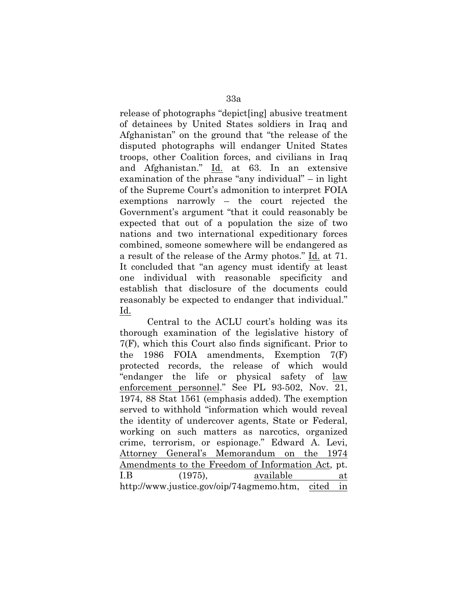release of photographs "depict[ing] abusive treatment of detainees by United States soldiers in Iraq and Afghanistan" on the ground that "the release of the disputed photographs will endanger United States troops, other Coalition forces, and civilians in Iraq and Afghanistan." Id. at 63. In an extensive examination of the phrase "any individual" – in light of the Supreme Court's admonition to interpret FOIA exemptions narrowly – the court rejected the Government's argument "that it could reasonably be expected that out of a population the size of two nations and two international expeditionary forces combined, someone somewhere will be endangered as a result of the release of the Army photos." Id. at 71. It concluded that "an agency must identify at least one individual with reasonable specificity and establish that disclosure of the documents could reasonably be expected to endanger that individual." Id.

Central to the ACLU court's holding was its thorough examination of the legislative history of 7(F), which this Court also finds significant. Prior to the 1986 FOIA amendments, Exemption 7(F) protected records, the release of which would "endanger the life or physical safety of law enforcement personnel." See PL 93-502, Nov. 21, 1974, 88 Stat 1561 (emphasis added). The exemption served to withhold "information which would reveal the identity of undercover agents, State or Federal, working on such matters as narcotics, organized crime, terrorism, or espionage." Edward A. Levi, Attorney General's Memorandum on the 1974 Amendments to the Freedom of Information Act, pt. I.B (1975), available at http://www.justice.gov/oip/74agmemo.htm, cited in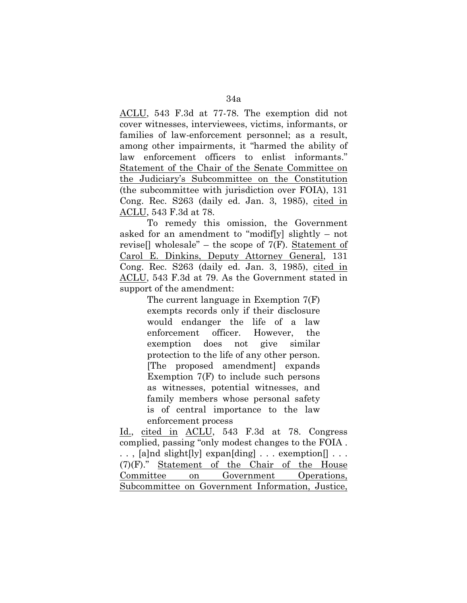ACLU, 543 F.3d at 77-78. The exemption did not cover witnesses, interviewees, victims, informants, or families of law-enforcement personnel; as a result, among other impairments, it "harmed the ability of law enforcement officers to enlist informants." Statement of the Chair of the Senate Committee on the Judiciary's Subcommittee on the Constitution (the subcommittee with jurisdiction over FOIA), 131 Cong. Rec. S263 (daily ed. Jan. 3, 1985), cited in ACLU, 543 F.3d at 78.

To remedy this omission, the Government asked for an amendment to "modif[y] slightly – not revise[] wholesale" – the scope of  $7(F)$ . Statement of Carol E. Dinkins, Deputy Attorney General, 131 Cong. Rec. S263 (daily ed. Jan. 3, 1985), cited in ACLU, 543 F.3d at 79. As the Government stated in support of the amendment:

> The current language in Exemption 7(F) exempts records only if their disclosure would endanger the life of a law enforcement officer. However, the exemption does not give similar protection to the life of any other person. [The proposed amendment] expands Exemption 7(F) to include such persons as witnesses, potential witnesses, and family members whose personal safety is of central importance to the law enforcement process

Id., cited in ACLU, 543 F.3d at 78. Congress complied, passing "only modest changes to the FOIA . . . , [a]nd slight[ly] expan[ding] . . . exemption[] . . . (7)(F)." Statement of the Chair of the House Committee on Government Operations, Subcommittee on Government Information, Justice,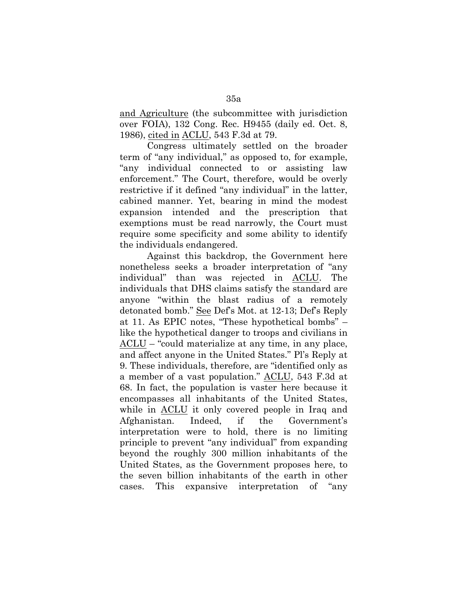and Agriculture (the subcommittee with jurisdiction over FOIA), 132 Cong. Rec. H9455 (daily ed. Oct. 8, 1986), cited in ACLU, 543 F.3d at 79.

Congress ultimately settled on the broader term of "any individual," as opposed to, for example, "any individual connected to or assisting law enforcement." The Court, therefore, would be overly restrictive if it defined "any individual" in the latter, cabined manner. Yet, bearing in mind the modest expansion intended and the prescription that exemptions must be read narrowly, the Court must require some specificity and some ability to identify the individuals endangered.

Against this backdrop, the Government here nonetheless seeks a broader interpretation of "any individual" than was rejected in ACLU. The individuals that DHS claims satisfy the standard are anyone "within the blast radius of a remotely detonated bomb." See Def's Mot. at 12-13; Def's Reply at 11. As EPIC notes, "These hypothetical bombs" – like the hypothetical danger to troops and civilians in ACLU – "could materialize at any time, in any place, and affect anyone in the United States." Pl's Reply at 9. These individuals, therefore, are "identified only as a member of a vast population." ACLU, 543 F.3d at 68. In fact, the population is vaster here because it encompasses all inhabitants of the United States, while in ACLU it only covered people in Iraq and Afghanistan. Indeed, if the Government's interpretation were to hold, there is no limiting principle to prevent "any individual" from expanding beyond the roughly 300 million inhabitants of the United States, as the Government proposes here, to the seven billion inhabitants of the earth in other cases. This expansive interpretation of "any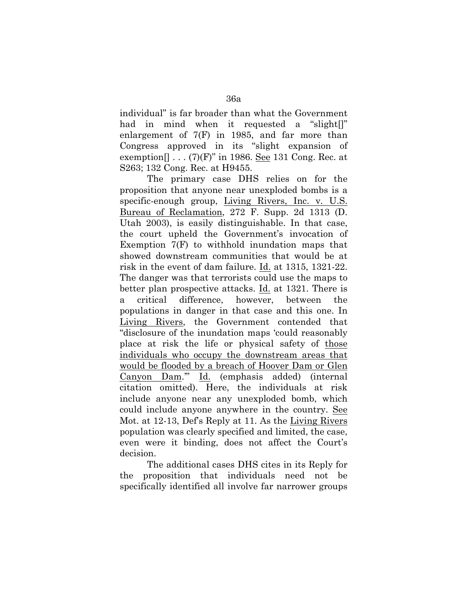individual" is far broader than what the Government had in mind when it requested a "slight[]" enlargement of 7(F) in 1985, and far more than Congress approved in its "slight expansion of exemption  $\lceil \dots (7)(F)^n \rceil$  in 1986. See 131 Cong. Rec. at S263; 132 Cong. Rec. at H9455.

The primary case DHS relies on for the proposition that anyone near unexploded bombs is a specific-enough group, Living Rivers, Inc. v. U.S. Bureau of Reclamation, 272 F. Supp. 2d 1313 (D. Utah 2003), is easily distinguishable. In that case, the court upheld the Government's invocation of Exemption 7(F) to withhold inundation maps that showed downstream communities that would be at risk in the event of dam failure. Id. at 1315, 1321-22. The danger was that terrorists could use the maps to better plan prospective attacks. Id. at 1321. There is a critical difference, however, between the populations in danger in that case and this one. In Living Rivers, the Government contended that "disclosure of the inundation maps 'could reasonably place at risk the life or physical safety of those individuals who occupy the downstream areas that would be flooded by a breach of Hoover Dam or Glen Canyon Dam.'" Id. (emphasis added) (internal citation omitted). Here, the individuals at risk include anyone near any unexploded bomb, which could include anyone anywhere in the country. See Mot. at 12-13, Def's Reply at 11. As the Living Rivers population was clearly specified and limited, the case, even were it binding, does not affect the Court's decision.

The additional cases DHS cites in its Reply for the proposition that individuals need not be specifically identified all involve far narrower groups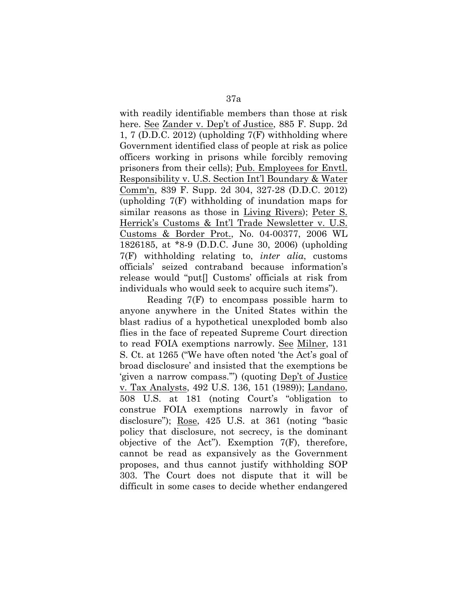with readily identifiable members than those at risk here. See Zander v. Dep't of Justice, 885 F. Supp. 2d 1, 7 (D.D.C. 2012) (upholding 7(F) withholding where Government identified class of people at risk as police officers working in prisons while forcibly removing prisoners from their cells); Pub. Employees for Envtl. Responsibility v. U.S. Section Int'l Boundary & Water Comm'n, 839 F. Supp. 2d 304, 327-28 (D.D.C. 2012) (upholding 7(F) withholding of inundation maps for similar reasons as those in Living Rivers); Peter S. Herrick's Customs & Int'l Trade Newsletter v. U.S. Customs & Border Prot., No. 04-00377, 2006 WL 1826185, at \*8-9 (D.D.C. June 30, 2006) (upholding 7(F) withholding relating to, *inter alia*, customs officials' seized contraband because information's release would "put[] Customs' officials at risk from individuals who would seek to acquire such items").

Reading 7(F) to encompass possible harm to anyone anywhere in the United States within the blast radius of a hypothetical unexploded bomb also flies in the face of repeated Supreme Court direction to read FOIA exemptions narrowly. See Milner, 131 S. Ct. at 1265 ("We have often noted 'the Act's goal of broad disclosure' and insisted that the exemptions be 'given a narrow compass.'") (quoting Dep't of Justice v. Tax Analysts, 492 U.S. 136, 151 (1989)); Landano, 508 U.S. at 181 (noting Court's "obligation to construe FOIA exemptions narrowly in favor of disclosure"); Rose, 425 U.S. at 361 (noting "basic policy that disclosure, not secrecy, is the dominant objective of the Act"). Exemption  $7(F)$ , therefore, cannot be read as expansively as the Government proposes, and thus cannot justify withholding SOP 303. The Court does not dispute that it will be difficult in some cases to decide whether endangered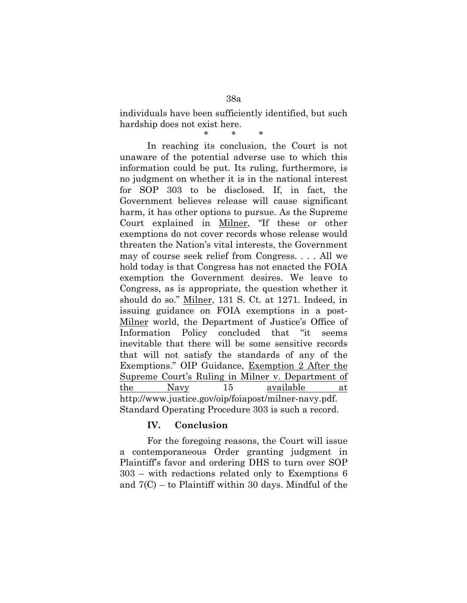individuals have been sufficiently identified, but such hardship does not exist here.

\* \* \* In reaching its conclusion, the Court is not unaware of the potential adverse use to which this information could be put. Its ruling, furthermore, is no judgment on whether it is in the national interest for SOP 303 to be disclosed. If, in fact, the Government believes release will cause significant harm, it has other options to pursue. As the Supreme Court explained in Milner, "If these or other exemptions do not cover records whose release would threaten the Nation's vital interests, the Government may of course seek relief from Congress. . . . All we hold today is that Congress has not enacted the FOIA exemption the Government desires. We leave to Congress, as is appropriate, the question whether it should do so." Milner, 131 S. Ct. at 1271. Indeed, in issuing guidance on FOIA exemptions in a post-Milner world, the Department of Justice's Office of Information Policy concluded that "it seems inevitable that there will be some sensitive records that will not satisfy the standards of any of the Exemptions." OIP Guidance, Exemption 2 After the Supreme Court's Ruling in Milner v. Department of the Navy 15 available at http://www.justice.gov/oip/foiapost/milner-navy.pdf. Standard Operating Procedure 303 is such a record.

## **IV. Conclusion**

For the foregoing reasons, the Court will issue a contemporaneous Order granting judgment in Plaintiff's favor and ordering DHS to turn over SOP 303 – with redactions related only to Exemptions 6 and 7(C) – to Plaintiff within 30 days. Mindful of the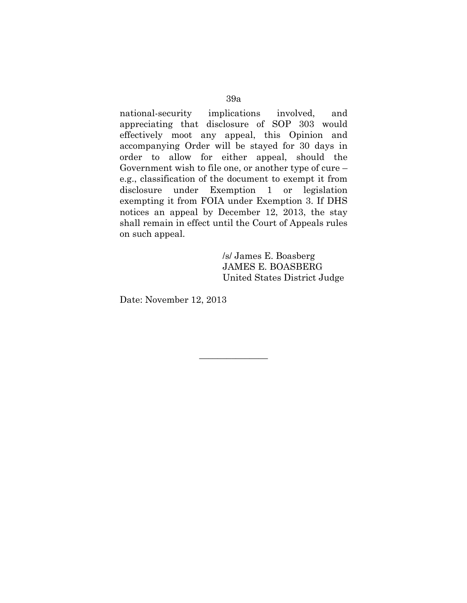#### 39a

national-security implications involved, and appreciating that disclosure of SOP 303 would effectively moot any appeal, this Opinion and accompanying Order will be stayed for 30 days in order to allow for either appeal, should the Government wish to file one, or another type of cure – e.g., classification of the document to exempt it from disclosure under Exemption 1 or legislation exempting it from FOIA under Exemption 3. If DHS notices an appeal by December 12, 2013, the stay shall remain in effect until the Court of Appeals rules on such appeal.

> /s/ James E. Boasberg JAMES E. BOASBERG United States District Judge

Date: November 12, 2013

 $\overline{\phantom{a}}$  , where  $\overline{\phantom{a}}$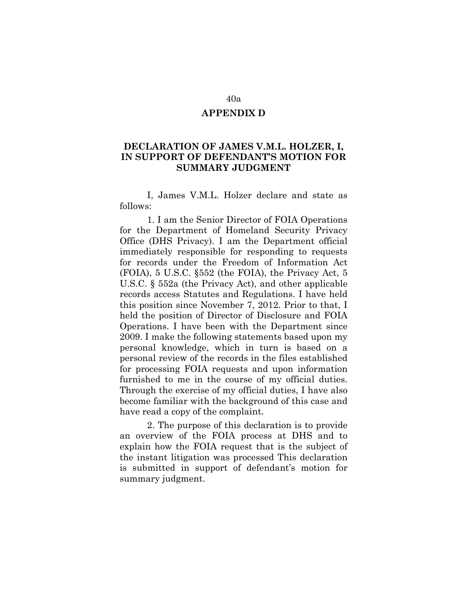#### **APPENDIX D**

# **DECLARATION OF JAMES V.M.L. HOLZER, I, IN SUPPORT OF DEFENDANT'S MOTION FOR SUMMARY JUDGMENT**

I, James V.M.L. Holzer declare and state as follows:

1. I am the Senior Director of FOIA Operations for the Department of Homeland Security Privacy Office (DHS Privacy). I am the Department official immediately responsible for responding to requests for records under the Freedom of Information Act (FOIA), 5 U.S.C. §552 (the FOIA), the Privacy Act, 5 U.S.C. § 552a (the Privacy Act), and other applicable records access Statutes and Regulations. I have held this position since November 7, 2012. Prior to that, I held the position of Director of Disclosure and FOIA Operations. I have been with the Department since 2009. I make the following statements based upon my personal knowledge, which in turn is based on a personal review of the records in the files established for processing FOIA requests and upon information furnished to me in the course of my official duties. Through the exercise of my official duties, I have also become familiar with the background of this case and have read a copy of the complaint.

2. The purpose of this declaration is to provide an overview of the FOIA process at DHS and to explain how the FOIA request that is the subject of the instant litigation was processed This declaration is submitted in support of defendant's motion for summary judgment.

#### 40a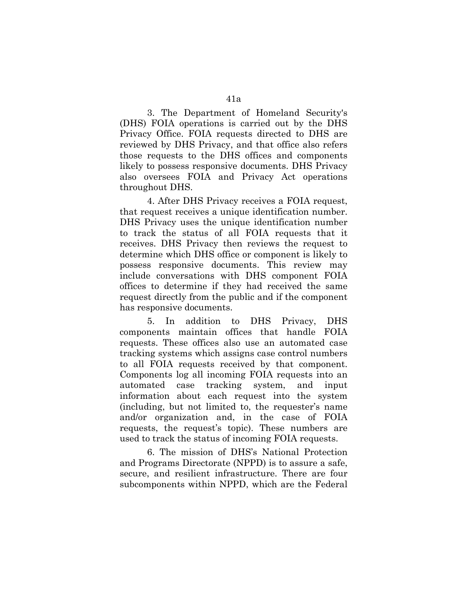3. The Department of Homeland Security's (DHS) FOIA operations is carried out by the DHS Privacy Office. FOIA requests directed to DHS are reviewed by DHS Privacy, and that office also refers those requests to the DHS offices and components likely to possess responsive documents. DHS Privacy also oversees FOIA and Privacy Act operations throughout DHS.

4. After DHS Privacy receives a FOIA request, that request receives a unique identification number. DHS Privacy uses the unique identification number to track the status of all FOIA requests that it receives. DHS Privacy then reviews the request to determine which DHS office or component is likely to possess responsive documents. This review may include conversations with DHS component FOIA offices to determine if they had received the same request directly from the public and if the component has responsive documents.

5. In addition to DHS Privacy, DHS components maintain offices that handle FOIA requests. These offices also use an automated case tracking systems which assigns case control numbers to all FOIA requests received by that component. Components log all incoming FOIA requests into an automated case tracking system, and input information about each request into the system (including, but not limited to, the requester's name and/or organization and, in the case of FOIA requests, the request's topic). These numbers are used to track the status of incoming FOIA requests.

6. The mission of DHS's National Protection and Programs Directorate (NPPD) is to assure a safe, secure, and resilient infrastructure. There are four subcomponents within NPPD, which are the Federal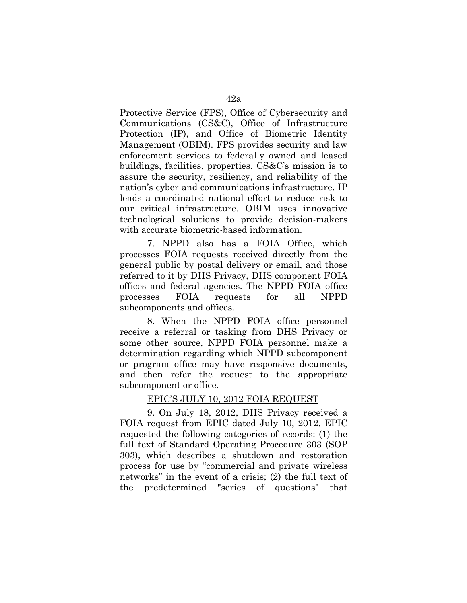Protective Service (FPS), Office of Cybersecurity and Communications (CS&C), Office of Infrastructure Protection (IP), and Office of Biometric Identity Management (OBIM). FPS provides security and law enforcement services to federally owned and leased buildings, facilities, properties. CS&C's mission is to assure the security, resiliency, and reliability of the nation's cyber and communications infrastructure. IP leads a coordinated national effort to reduce risk to our critical infrastructure. OBIM uses innovative technological solutions to provide decision-makers with accurate biometric-based information.

7. NPPD also has a FOIA Office, which processes FOIA requests received directly from the general public by postal delivery or email, and those referred to it by DHS Privacy, DHS component FOIA offices and federal agencies. The NPPD FOIA office processes FOIA requests for all NPPD subcomponents and offices.

8. When the NPPD FOIA office personnel receive a referral or tasking from DHS Privacy or some other source, NPPD FOIA personnel make a determination regarding which NPPD subcomponent or program office may have responsive documents, and then refer the request to the appropriate subcomponent or office.

## EPIC'S JULY 10, 2012 FOIA REQUEST

9. On July 18, 2012, DHS Privacy received a FOIA request from EPIC dated July 10, 2012. EPIC requested the following categories of records: (1) the full text of Standard Operating Procedure 303 (SOP 303), which describes a shutdown and restoration process for use by "commercial and private wireless networks" in the event of a crisis; (2) the full text of the predetermined "series of questions" that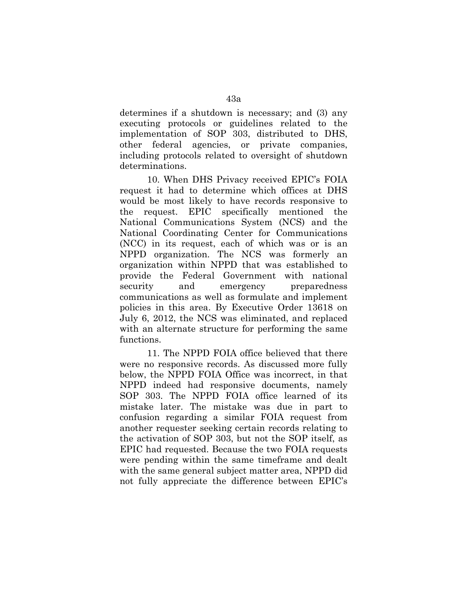determines if a shutdown is necessary; and (3) any executing protocols or guidelines related to the implementation of SOP 303, distributed to DHS, other federal agencies, or private companies, including protocols related to oversight of shutdown determinations.

10. When DHS Privacy received EPIC's FOIA request it had to determine which offices at DHS would be most likely to have records responsive to the request. EPIC specifically mentioned the National Communications System (NCS) and the National Coordinating Center for Communications (NCC) in its request, each of which was or is an NPPD organization. The NCS was formerly an organization within NPPD that was established to provide the Federal Government with national security and emergency preparedness communications as well as formulate and implement policies in this area. By Executive Order 13618 on July 6, 2012, the NCS was eliminated, and replaced with an alternate structure for performing the same functions.

11. The NPPD FOIA office believed that there were no responsive records. As discussed more fully below, the NPPD FOIA Office was incorrect, in that NPPD indeed had responsive documents, namely SOP 303. The NPPD FOIA office learned of its mistake later. The mistake was due in part to confusion regarding a similar FOIA request from another requester seeking certain records relating to the activation of SOP 303, but not the SOP itself, as EPIC had requested. Because the two FOIA requests were pending within the same timeframe and dealt with the same general subject matter area, NPPD did not fully appreciate the difference between EPIC's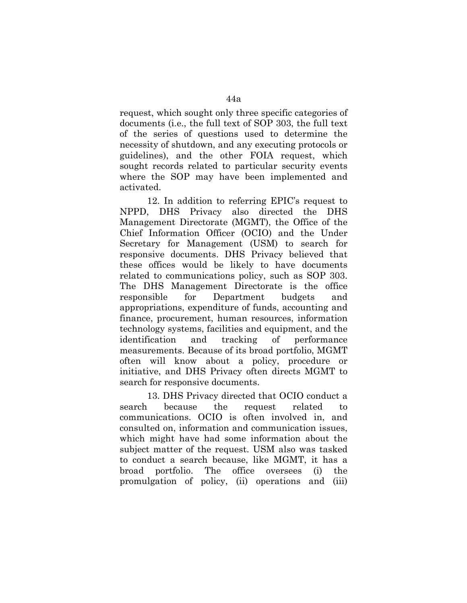request, which sought only three specific categories of documents (i.e., the full text of SOP 303, the full text of the series of questions used to determine the necessity of shutdown, and any executing protocols or guidelines), and the other FOIA request, which sought records related to particular security events where the SOP may have been implemented and activated.

12. In addition to referring EPIC's request to NPPD, DHS Privacy also directed the DHS Management Directorate (MGMT), the Office of the Chief Information Officer (OCIO) and the Under Secretary for Management (USM) to search for responsive documents. DHS Privacy believed that these offices would be likely to have documents related to communications policy, such as SOP 303. The DHS Management Directorate is the office responsible for Department budgets and appropriations, expenditure of funds, accounting and finance, procurement, human resources, information technology systems, facilities and equipment, and the identification and tracking of performance measurements. Because of its broad portfolio, MGMT often will know about a policy, procedure or initiative, and DHS Privacy often directs MGMT to search for responsive documents.

13. DHS Privacy directed that OCIO conduct a search because the request related to communications. OCIO is often involved in, and consulted on, information and communication issues, which might have had some information about the subject matter of the request. USM also was tasked to conduct a search because, like MGMT, it has a broad portfolio. The office oversees (i) the promulgation of policy, (ii) operations and (iii)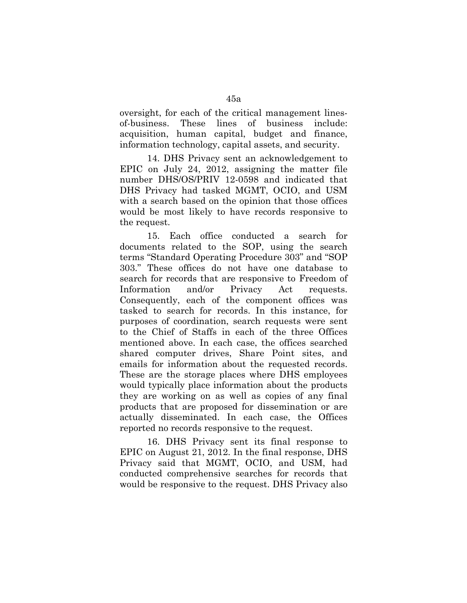oversight, for each of the critical management linesof-business. These lines of business include: acquisition, human capital, budget and finance, information technology, capital assets, and security.

14. DHS Privacy sent an acknowledgement to EPIC on July 24, 2012, assigning the matter file number DHS/OS/PRIV 12-0598 and indicated that DHS Privacy had tasked MGMT, OCIO, and USM with a search based on the opinion that those offices would be most likely to have records responsive to the request.

15. Each office conducted a search for documents related to the SOP, using the search terms "Standard Operating Procedure 303" and "SOP 303." These offices do not have one database to search for records that are responsive to Freedom of Information and/or Privacy Act requests. Consequently, each of the component offices was tasked to search for records. In this instance, for purposes of coordination, search requests were sent to the Chief of Staffs in each of the three Offices mentioned above. In each case, the offices searched shared computer drives, Share Point sites, and emails for information about the requested records. These are the storage places where DHS employees would typically place information about the products they are working on as well as copies of any final products that are proposed for dissemination or are actually disseminated. In each case, the Offices reported no records responsive to the request.

16. DHS Privacy sent its final response to EPIC on August 21, 2012. In the final response, DHS Privacy said that MGMT, OCIO, and USM, had conducted comprehensive searches for records that would be responsive to the request. DHS Privacy also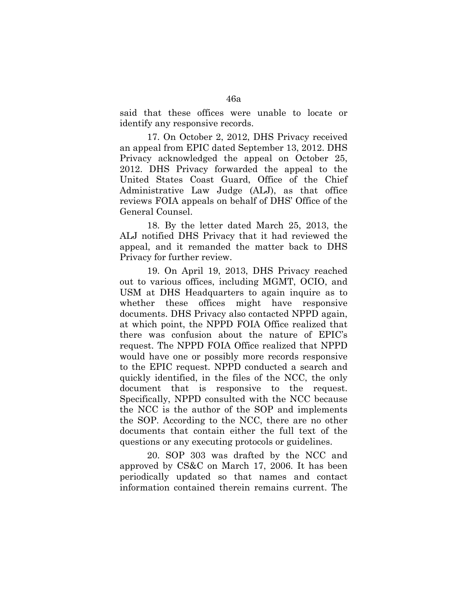said that these offices were unable to locate or identify any responsive records.

17. On October 2, 2012, DHS Privacy received an appeal from EPIC dated September 13, 2012. DHS Privacy acknowledged the appeal on October 25, 2012. DHS Privacy forwarded the appeal to the United States Coast Guard, Office of the Chief Administrative Law Judge (ALJ), as that office reviews FOIA appeals on behalf of DHS' Office of the General Counsel.

18. By the letter dated March 25, 2013, the ALJ notified DHS Privacy that it had reviewed the appeal, and it remanded the matter back to DHS Privacy for further review.

19. On April 19, 2013, DHS Privacy reached out to various offices, including MGMT, OCIO, and USM at DHS Headquarters to again inquire as to whether these offices might have responsive documents. DHS Privacy also contacted NPPD again, at which point, the NPPD FOIA Office realized that there was confusion about the nature of EPIC's request. The NPPD FOIA Office realized that NPPD would have one or possibly more records responsive to the EPIC request. NPPD conducted a search and quickly identified, in the files of the NCC, the only document that is responsive to the request. Specifically, NPPD consulted with the NCC because the NCC is the author of the SOP and implements the SOP. According to the NCC, there are no other documents that contain either the full text of the questions or any executing protocols or guidelines.

20. SOP 303 was drafted by the NCC and approved by CS&C on March 17, 2006. It has been periodically updated so that names and contact information contained therein remains current. The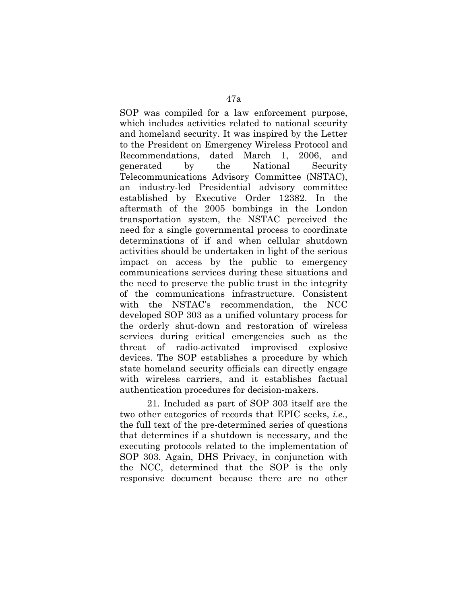SOP was compiled for a law enforcement purpose, which includes activities related to national security and homeland security. It was inspired by the Letter to the President on Emergency Wireless Protocol and Recommendations, dated March 1, 2006, and generated by the National Security Telecommunications Advisory Committee (NSTAC), an industry-led Presidential advisory committee established by Executive Order 12382. In the aftermath of the 2005 bombings in the London transportation system, the NSTAC perceived the need for a single governmental process to coordinate determinations of if and when cellular shutdown activities should be undertaken in light of the serious impact on access by the public to emergency communications services during these situations and the need to preserve the public trust in the integrity of the communications infrastructure. Consistent with the NSTAC's recommendation, the NCC developed SOP 303 as a unified voluntary process for the orderly shut-down and restoration of wireless services during critical emergencies such as the threat of radio-activated improvised explosive devices. The SOP establishes a procedure by which state homeland security officials can directly engage with wireless carriers, and it establishes factual authentication procedures for decision-makers.

21. Included as part of SOP 303 itself are the two other categories of records that EPIC seeks, *i.e.*, the full text of the pre-determined series of questions that determines if a shutdown is necessary, and the executing protocols related to the implementation of SOP 303. Again, DHS Privacy, in conjunction with the NCC, determined that the SOP is the only responsive document because there are no other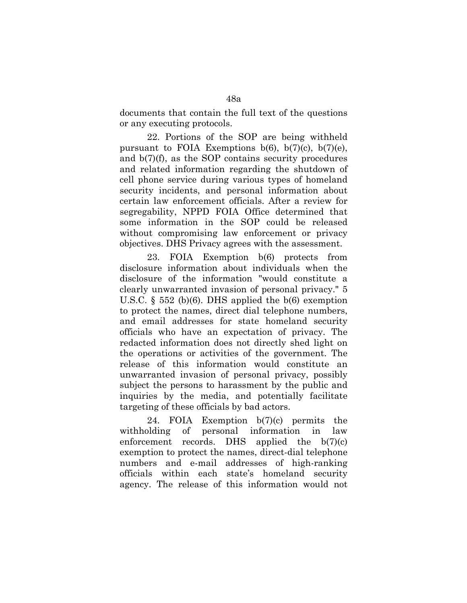documents that contain the full text of the questions or any executing protocols.

22. Portions of the SOP are being withheld pursuant to FOIA Exemptions  $b(6)$ ,  $b(7)(c)$ ,  $b(7)(e)$ , and b(7)(f), as the SOP contains security procedures and related information regarding the shutdown of cell phone service during various types of homeland security incidents, and personal information about certain law enforcement officials. After a review for segregability, NPPD FOIA Office determined that some information in the SOP could be released without compromising law enforcement or privacy objectives. DHS Privacy agrees with the assessment.

23. FOIA Exemption b(6) protects from disclosure information about individuals when the disclosure of the information "would constitute a clearly unwarranted invasion of personal privacy." 5 U.S.C. § 552 (b)(6). DHS applied the b(6) exemption to protect the names, direct dial telephone numbers, and email addresses for state homeland security officials who have an expectation of privacy. The redacted information does not directly shed light on the operations or activities of the government. The release of this information would constitute an unwarranted invasion of personal privacy, possibly subject the persons to harassment by the public and inquiries by the media, and potentially facilitate targeting of these officials by bad actors.

24. FOIA Exemption b(7)(c) permits the withholding of personal information in law enforcement records. DHS applied the  $b(7)(c)$ exemption to protect the names, direct-dial telephone numbers and e-mail addresses of high-ranking officials within each state's homeland security agency. The release of this information would not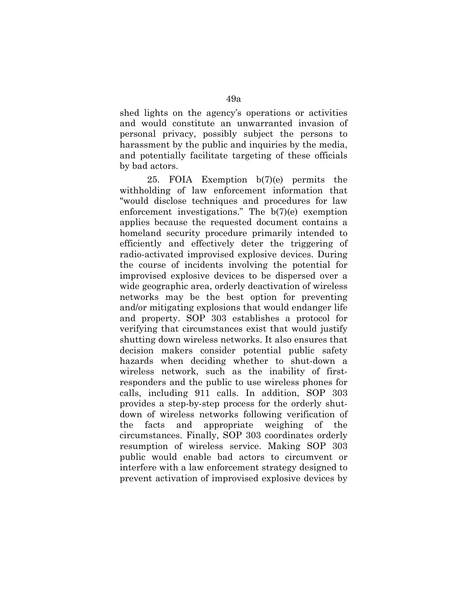shed lights on the agency's operations or activities and would constitute an unwarranted invasion of personal privacy, possibly subject the persons to harassment by the public and inquiries by the media, and potentially facilitate targeting of these officials by bad actors.

25. FOIA Exemption b(7)(e) permits the withholding of law enforcement information that "would disclose techniques and procedures for law enforcement investigations." The b(7)(e) exemption applies because the requested document contains a homeland security procedure primarily intended to efficiently and effectively deter the triggering of radio-activated improvised explosive devices. During the course of incidents involving the potential for improvised explosive devices to be dispersed over a wide geographic area, orderly deactivation of wireless networks may be the best option for preventing and/or mitigating explosions that would endanger life and property. SOP 303 establishes a protocol for verifying that circumstances exist that would justify shutting down wireless networks. It also ensures that decision makers consider potential public safety hazards when deciding whether to shut-down a wireless network, such as the inability of firstresponders and the public to use wireless phones for calls, including 911 calls. In addition, SOP 303 provides a step-by-step process for the orderly shutdown of wireless networks following verification of the facts and appropriate weighing of the circumstances. Finally, SOP 303 coordinates orderly resumption of wireless service. Making SOP 303 public would enable bad actors to circumvent or interfere with a law enforcement strategy designed to prevent activation of improvised explosive devices by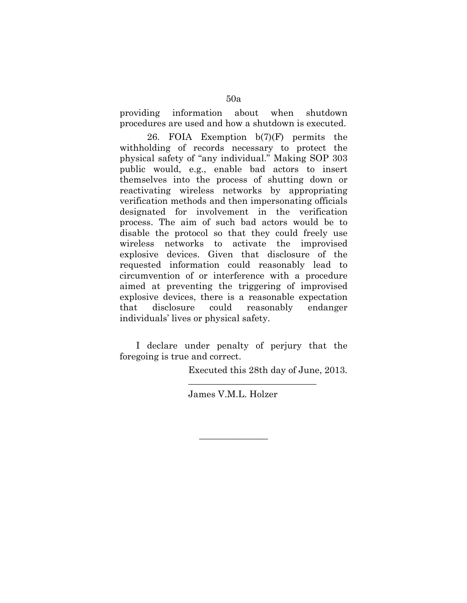providing information about when shutdown procedures are used and how a shutdown is executed.

26. FOIA Exemption  $b(7)(F)$  permits the withholding of records necessary to protect the physical safety of "any individual." Making SOP 303 public would, e.g., enable bad actors to insert themselves into the process of shutting down or reactivating wireless networks by appropriating verification methods and then impersonating officials designated for involvement in the verification process. The aim of such bad actors would be to disable the protocol so that they could freely use wireless networks to activate the improvised explosive devices. Given that disclosure of the requested information could reasonably lead to circumvention of or interference with a procedure aimed at preventing the triggering of improvised explosive devices, there is a reasonable expectation that disclosure could reasonably endanger individuals' lives or physical safety.

I declare under penalty of perjury that the foregoing is true and correct.

Executed this 28th day of June, 2013.

\_\_\_\_\_\_\_\_\_\_\_\_\_\_\_\_\_\_\_\_\_\_\_\_\_\_\_\_

James V.M.L. Holzer

 $\overline{\phantom{a}}$  , where  $\overline{\phantom{a}}$